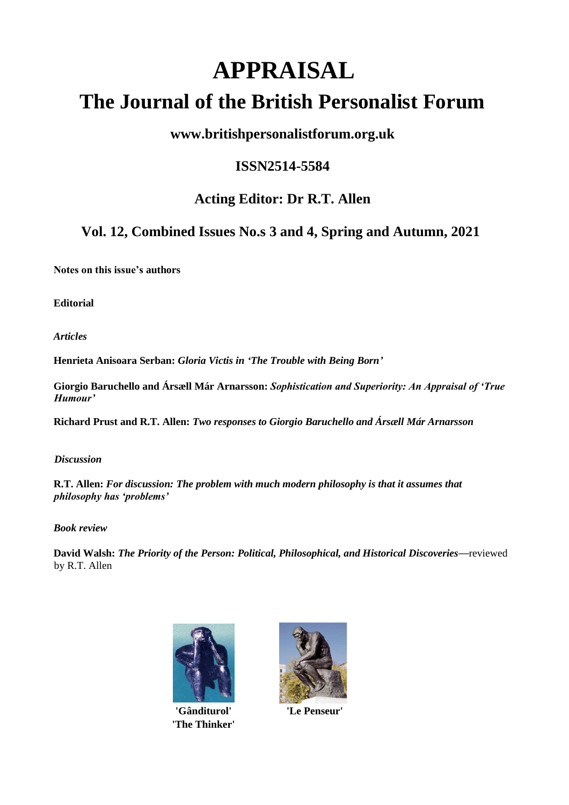# **APPRAISAL The Journal of the British Personalist Forum**

# **www.britishpersonalistforum.org.uk**

# **ISSN2514-5584**

# **Acting Editor: Dr R.T. Allen**

# **Vol. 12, Combined Issues No.s 3 and 4, Spring and Autumn, 2021**

**Notes on this issue's authors**

**Editorial**

*Articles*

**Henrieta Anisoara Serban:** *Gloria Victis in 'The Trouble with Being Born'*

**Giorgio Baruchello and Ársæll Már Arnarsson:** *Sophistication and Superiority: An Appraisal of 'True Humour'*

**Richard Prust and R.T. Allen:** *Two responses to Giorgio Baruchello and Ársæll Már Arnarsson*

*Discussion*

**R.T. Allen:** *For discussion: The problem with much modern philosophy is that it assumes that philosophy has 'problems'*

# *Book review*

**David Walsh:** *The Priority of the Person: Political, Philosophical, and Historical Discoveries*—reviewed by R.T. Allen



**'Gânditurol' 'Le Penseur' 'The Thinker'**

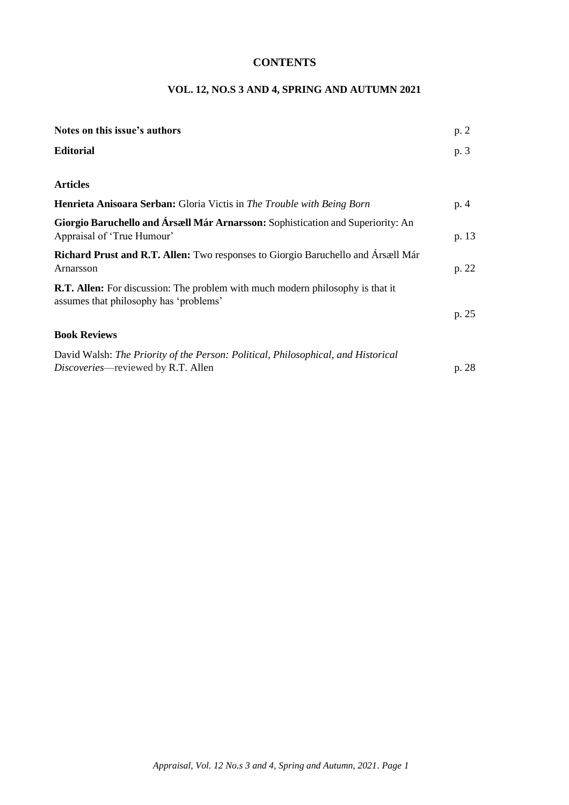# **CONTENTS**

# **VOL. 12, NO.S 3 AND 4, SPRING AND AUTUMN 2021**

| Notes on this issue's authors                                                                                                   | p. 2  |
|---------------------------------------------------------------------------------------------------------------------------------|-------|
| <b>Editorial</b>                                                                                                                | p. 3  |
| <b>Articles</b>                                                                                                                 |       |
| <b>Henrieta Anisoara Serban:</b> Gloria Victis in <i>The Trouble with Being Born</i>                                            | p. 4  |
| Giorgio Baruchello and Ársæll Már Arnarsson: Sophistication and Superiority: An<br>Appraisal of 'True Humour'                   | p. 13 |
| Richard Prust and R.T. Allen: Two responses to Giorgio Baruchello and Ársæll Már<br>Arnarsson                                   | p. 22 |
| <b>R.T. Allen:</b> For discussion: The problem with much modern philosophy is that it<br>assumes that philosophy has 'problems' |       |
|                                                                                                                                 | p. 25 |
| <b>Book Reviews</b>                                                                                                             |       |
| David Walsh: The Priority of the Person: Political, Philosophical, and Historical<br><i>Discoveries</i> —reviewed by R.T. Allen | p. 28 |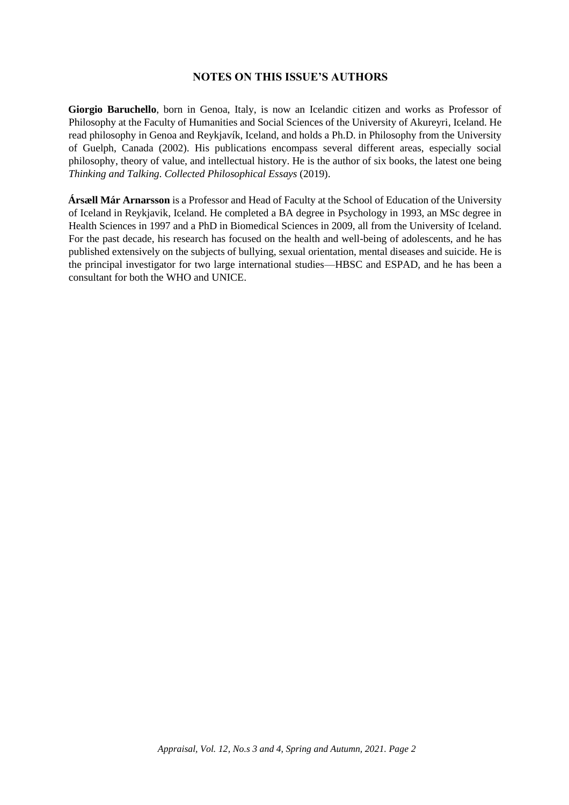# **NOTES ON THIS ISSUE'S AUTHORS**

**Giorgio Baruchello**, born in Genoa, Italy, is now an Icelandic citizen and works as Professor of Philosophy at the Faculty of Humanities and Social Sciences of the University of Akureyri, Iceland. He read philosophy in Genoa and Reykjavík, Iceland, and holds a Ph.D. in Philosophy from the University of Guelph, Canada (2002). His publications encompass several different areas, especially social philosophy, theory of value, and intellectual history. He is the author of six books, the latest one being *Thinking and Talking*. *Collected Philosophical Essays* (2019).

**Ársæll Már Arnarsson** is a Professor and Head of Faculty at the School of Education of the University of Iceland in Reykjavik, Iceland. He completed a BA degree in Psychology in 1993, an MSc degree in Health Sciences in 1997 and a PhD in Biomedical Sciences in 2009, all from the University of Iceland. For the past decade, his research has focused on the health and well-being of adolescents, and he has published extensively on the subjects of bullying, sexual orientation, mental diseases and suicide. He is the principal investigator for two large international studies—HBSC and ESPAD, and he has been a consultant for both the WHO and UNICE.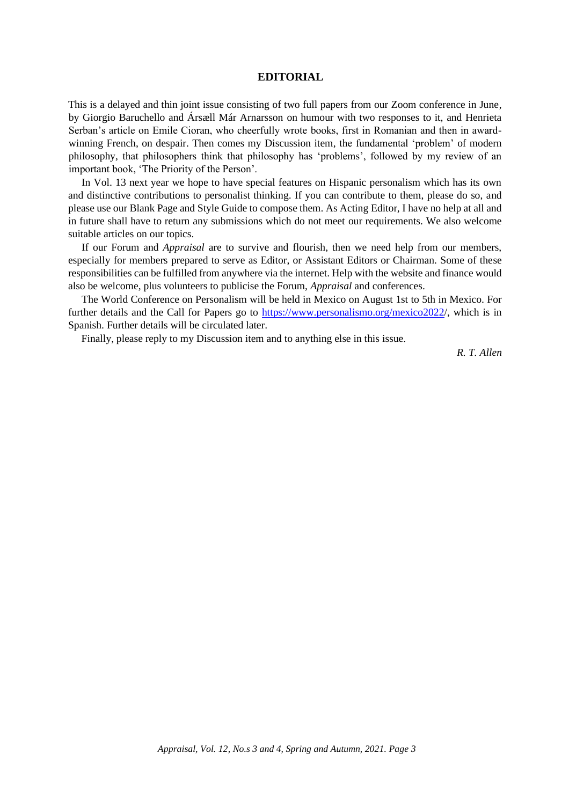#### **EDITORIAL**

This is a delayed and thin joint issue consisting of two full papers from our Zoom conference in June, by Giorgio Baruchello and Ársæll Már Arnarsson on humour with two responses to it, and Henrieta Serban's article on Emile Cioran, who cheerfully wrote books, first in Romanian and then in awardwinning French, on despair. Then comes my Discussion item, the fundamental 'problem' of modern philosophy, that philosophers think that philosophy has 'problems', followed by my review of an important book, 'The Priority of the Person'.

In Vol. 13 next year we hope to have special features on Hispanic personalism which has its own and distinctive contributions to personalist thinking. If you can contribute to them, please do so, and please use our Blank Page and Style Guide to compose them. As Acting Editor, I have no help at all and in future shall have to return any submissions which do not meet our requirements. We also welcome suitable articles on our topics.

If our Forum and *Appraisal* are to survive and flourish, then we need help from our members, especially for members prepared to serve as Editor, or Assistant Editors or Chairman. Some of these responsibilities can be fulfilled from anywhere via the internet. Help with the website and finance would also be welcome, plus volunteers to publicise the Forum, *Appraisal* and conferences.

The World Conference on Personalism will be held in Mexico on August 1st to 5th in Mexico. For further details and the Call for Papers go to https://www.personalismo.org/mexico2022/, which is in Spanish. Further details will be circulated later.

Finally, please reply to my Discussion item and to anything else in this issue.

*R. T. Allen*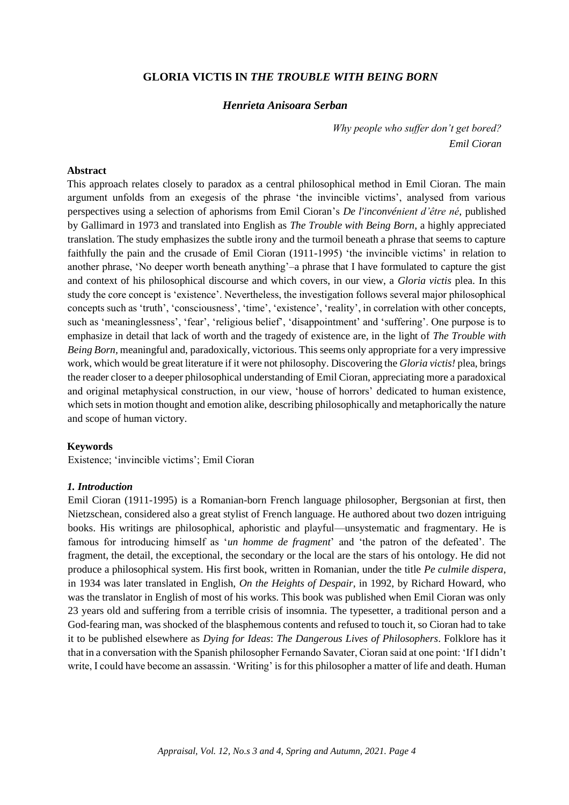# **GLORIA VICTIS IN** *THE TROUBLE WITH BEING BORN*

# *Henrieta Anisoara Serban*

*Why people who suffer don't get bored? Emil Cioran*

#### **Abstract**

This approach relates closely to paradox as a central philosophical method in Emil Cioran. The main argument unfolds from an exegesis of the phrase 'the invincible victims', analysed from various perspectives using a selection of aphorisms from Emil Cioran's *De l'inconvénient d'être né*, published by Gallimard in 1973 and translated into English as *The Trouble with Being Born*, a highly appreciated translation. The study emphasizes the subtle irony and the turmoil beneath a phrase that seems to capture faithfully the pain and the crusade of Emil Cioran (1911-1995) 'the invincible victims' in relation to another phrase, 'No deeper worth beneath anything'–a phrase that I have formulated to capture the gist and context of his philosophical discourse and which covers, in our view, a *Gloria victis* plea. In this study the core concept is 'existence'. Nevertheless, the investigation follows several major philosophical concepts such as 'truth', 'consciousness', 'time', 'existence', 'reality', in correlation with other concepts, such as 'meaninglessness', 'fear', 'religious belief', 'disappointment' and 'suffering'. One purpose is to emphasize in detail that lack of worth and the tragedy of existence are, in the light of *The Trouble with Being Born,* meaningful and, paradoxically, victorious. This seems only appropriate for a very impressive work, which would be great literature if it were not philosophy. Discovering the *Gloria victis!* plea, brings the reader closer to a deeper philosophical understanding of Emil Cioran, appreciating more a paradoxical and original metaphysical construction, in our view, 'house of horrors' dedicated to human existence, which sets in motion thought and emotion alike, describing philosophically and metaphorically the nature and scope of human victory.

## **Keywords**

Existence; 'invincible victims'; Emil Cioran

## *1. Introduction*

Emil Cioran (1911-1995) is a Romanian-born French language philosopher, Bergsonian at first, then Nietzschean, considered also a great stylist of French language. He authored about two dozen intriguing books. His writings are philosophical, aphoristic and playful—unsystematic and fragmentary. He is famous for introducing himself as '*un homme de fragment*' and 'the patron of the defeated'. The fragment, the detail, the exceptional, the secondary or the local are the stars of his ontology. He did not produce a philosophical system. His first book, written in Romanian, under the title *Pe culmile dispera*, in 1934 was later translated in English, *On the Heights of Despair*, in 1992, by Richard Howard, who was the translator in English of most of his works. This book was published when Emil Cioran was only 23 years old and suffering from a terrible crisis of insomnia. The typesetter, a traditional person and a God-fearing man, was shocked of the blasphemous contents and refused to touch it, so Cioran had to take it to be published elsewhere as *Dying for Ideas*: *The Dangerous Lives of Philosophers*. Folklore has it that in a conversation with the Spanish philosopher Fernando Savater, Cioran said at one point: 'If I didn't write, I could have become an assassin. 'Writing' is for this philosopher a matter of life and death. Human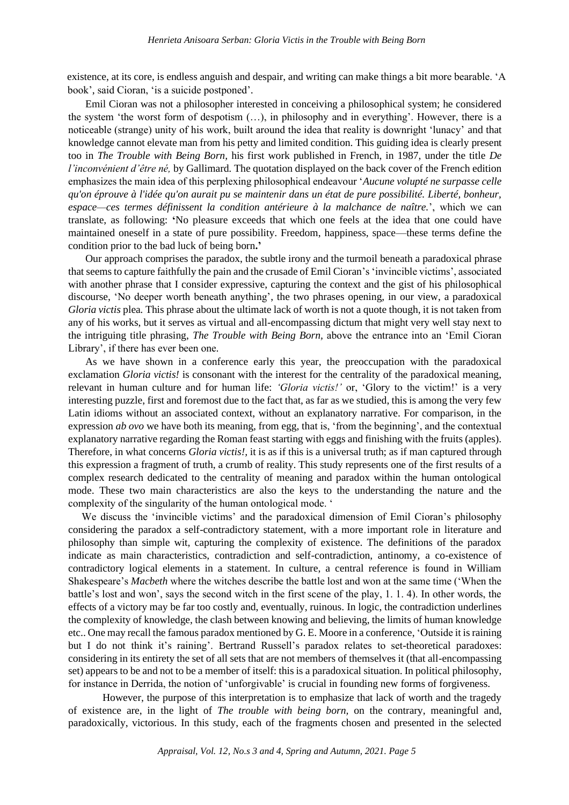existence, at its core, is endless anguish and despair, and writing can make things a bit more bearable. 'A book', said Cioran, 'is a suicide postponed'.

Emil Cioran was not a philosopher interested in conceiving a philosophical system; he considered the system 'the worst form of despotism (…), in philosophy and in everything'. However, there is a noticeable (strange) unity of his work, built around the idea that reality is downright 'lunacy' and that knowledge cannot elevate man from his petty and limited condition. This guiding idea is clearly present too in *The Trouble with Being Born,* his first work published in French, in 1987, under the title *De l'inconvénient d'être né,* by Gallimard*.* The quotation displayed on the back cover of the French edition emphasizes the main idea of this perplexing philosophical endeavour '*Aucune volupté ne surpasse celle qu'on éprouve à l'idée qu'on aurait pu se maintenir dans un état de pure possibilité. Liberté, bonheur, espace—ces termes définissent la condition antérieure à la malchance de naître.*', which we can translate, as following: **'**No pleasure exceeds that which one feels at the idea that one could have maintained oneself in a state of pure possibility. Freedom, happiness, space—these terms define the condition prior to the bad luck of being born**.'**

Our approach comprises the paradox, the subtle irony and the turmoil beneath a paradoxical phrase that seems to capture faithfully the pain and the crusade of Emil Cioran's'invincible victims', associated with another phrase that I consider expressive, capturing the context and the gist of his philosophical discourse, 'No deeper worth beneath anything', the two phrases opening, in our view, a paradoxical *Gloria victis* plea*.* This phrase about the ultimate lack of worth is not a quote though, it is not taken from any of his works, but it serves as virtual and all-encompassing dictum that might very well stay next to the intriguing title phrasing, *The Trouble with Being Born,* above the entrance into an 'Emil Cioran Library', if there has ever been one*.*

As we have shown in a conference early this year, the preoccupation with the paradoxical exclamation *Gloria victis!* is consonant with the interest for the centrality of the paradoxical meaning, relevant in human culture and for human life: *'Gloria victis!'* or, 'Glory to the victim!' is a very interesting puzzle, first and foremost due to the fact that, as far as we studied, this is among the very few Latin idioms without an associated context, without an explanatory narrative. For comparison, in the expression *ab ovo* we have both its meaning, from egg, that is, 'from the beginning', and the contextual explanatory narrative regarding the Roman feast starting with eggs and finishing with the fruits (apples). Therefore, in what concerns *Gloria victis!,* it is as if this is a universal truth; as if man captured through this expression a fragment of truth, a crumb of reality. This study represents one of the first results of a complex research dedicated to the centrality of meaning and paradox within the human ontological mode. These two main characteristics are also the keys to the understanding the nature and the complexity of the singularity of the human ontological mode. '

We discuss the 'invincible victims' and the paradoxical dimension of Emil Cioran's philosophy considering the paradox a self-contradictory statement, with a more important role in literature and philosophy than simple wit, capturing the complexity of existence. The definitions of the paradox indicate as main characteristics, contradiction and self-contradiction, antinomy, a co-existence of contradictory logical elements in a statement. In culture, a central reference is found in William Shakespeare's *Macbeth* where the witches describe the battle lost and won at the same time ('When the battle's lost and won', says the second witch in the first scene of the play, 1. 1. 4). In other words, the effects of a victory may be far too costly and, eventually, ruinous. In logic, the contradiction underlines the complexity of knowledge, the clash between knowing and believing, the limits of human knowledge etc.. One may recall the famous paradox mentioned by G. E. Moore in a conference, 'Outside it is raining but I do not think it's raining'. Bertrand Russell's paradox relates to set-theoretical paradoxes: considering in its entirety the set of all sets that are not members of themselves it (that all-encompassing set) appears to be and not to be a member of itself: this is a paradoxical situation. In political philosophy, for instance in Derrida, the notion of 'unforgivable' is crucial in founding new forms of forgiveness*.*

However, the purpose of this interpretation is to emphasize that lack of worth and the tragedy of existence are, in the light of *The trouble with being born,* on the contrary, meaningful and, paradoxically, victorious. In this study, each of the fragments chosen and presented in the selected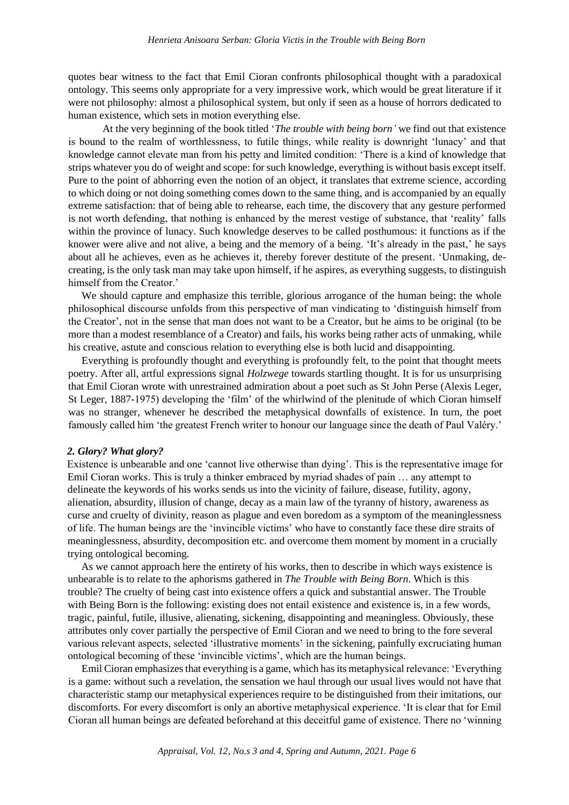quotes bear witness to the fact that Emil Cioran confronts philosophical thought with a paradoxical ontology. This seems only appropriate for a very impressive work, which would be great literature if it were not philosophy: almost a philosophical system, but only if seen as a house of horrors dedicated to human existence, which sets in motion everything else.

At the very beginning of the book titled '*The trouble with being born'* we find out that existence is bound to the realm of worthlessness, to futile things, while reality is downright 'lunacy' and that knowledge cannot elevate man from his petty and limited condition: 'There is a kind of knowledge that strips whatever you do of weight and scope: for such knowledge, everything is without basis except itself. Pure to the point of abhorring even the notion of an object, it translates that extreme science, according to which doing or not doing something comes down to the same thing, and is accompanied by an equally extreme satisfaction: that of being able to rehearse, each time, the discovery that any gesture performed is not worth defending, that nothing is enhanced by the merest vestige of substance, that 'reality' falls within the province of lunacy. Such knowledge deserves to be called posthumous: it functions as if the knower were alive and not alive, a being and the memory of a being. 'It's already in the past,' he says about all he achieves, even as he achieves it, thereby forever destitute of the present. 'Unmaking, decreating, is the only task man may take upon himself, if he aspires, as everything suggests, to distinguish himself from the Creator.'

We should capture and emphasize this terrible, glorious arrogance of the human being: the whole philosophical discourse unfolds from this perspective of man vindicating to 'distinguish himself from the Creator', not in the sense that man does not want to be a Creator, but he aims to be original (to be more than a modest resemblance of a Creator) and fails, his works being rather acts of unmaking, while his creative, astute and conscious relation to everything else is both lucid and disappointing.

Everything is profoundly thought and everything is profoundly felt, to the point that thought meets poetry. After all, artful expressions signal *Holzwege* towards startling thought. It is for us unsurprising that Emil Cioran wrote with unrestrained admiration about a poet such as St John Perse (Alexis Leger, St Leger, 1887-1975) developing the 'film' of the whirlwind of the plenitude of which Cioran himself was no stranger, whenever he described the metaphysical downfalls of existence. In turn, the poet famously called him 'the greatest French writer to honour our language since the death of Paul Valéry.'

#### *2. Glory? What glory?*

Existence is unbearable and one 'cannot live otherwise than dying'. This is the representative image for Emil Cioran works. This is truly a thinker embraced by myriad shades of pain … any attempt to delineate the keywords of his works sends us into the vicinity of failure, disease, futility, agony, alienation, absurdity, illusion of change, decay as a main law of the tyranny of history, awareness as curse and cruelty of divinity, reason as plague and even boredom as a symptom of the meaninglessness of life. The human beings are the 'invincible victims' who have to constantly face these dire straits of meaninglessness, absurdity, decomposition etc. and overcome them moment by moment in a crucially trying ontological becoming.

As we cannot approach here the entirety of his works, then to describe in which ways existence is unbearable is to relate to the aphorisms gathered in *The Trouble with Being Born*. Which is this trouble? The cruelty of being cast into existence offers a quick and substantial answer. The Trouble with Being Born is the following: existing does not entail existence and existence is, in a few words, tragic, painful, futile, illusive, alienating, sickening, disappointing and meaningless. Obviously, these attributes only cover partially the perspective of Emil Cioran and we need to bring to the fore several various relevant aspects, selected 'illustrative moments' in the sickening, painfully excruciating human ontological becoming of these 'invincible victims', which are the human beings*.*

Emil Cioran emphasizes that everything is a game, which has its metaphysical relevance: 'Everything is a game: without such a revelation, the sensation we haul through our usual lives would not have that characteristic stamp our metaphysical experiences require to be distinguished from their imitations, our discomforts. For every discomfort is only an abortive metaphysical experience. 'It is clear that for Emil Cioran all human beings are defeated beforehand at this deceitful game of existence. There no 'winning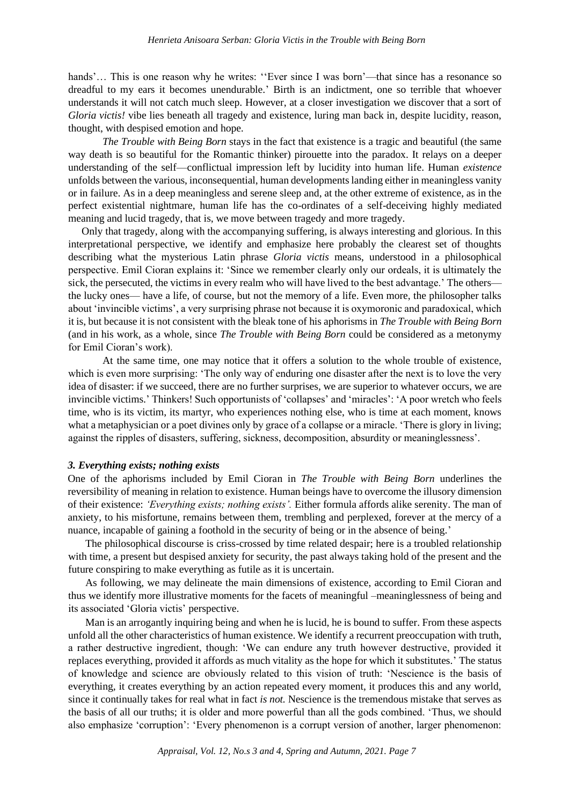hands'... This is one reason why he writes: "Ever since I was born'—that since has a resonance so dreadful to my ears it becomes unendurable.' Birth is an indictment, one so terrible that whoever understands it will not catch much sleep. However, at a closer investigation we discover that a sort of *Gloria victis!* vibe lies beneath all tragedy and existence, luring man back in, despite lucidity, reason, thought, with despised emotion and hope*.*

*The Trouble with Being Born* stays in the fact that existence is a tragic and beautiful (the same way death is so beautiful for the Romantic thinker) pirouette into the paradox. It relays on a deeper understanding of the self—conflictual impression left by lucidity into human life. Human *existence* unfolds between the various, inconsequential, human developments landing either in meaningless vanity or in failure. As in a deep meaningless and serene sleep and, at the other extreme of existence, as in the perfect existential nightmare, human life has the co-ordinates of a self-deceiving highly mediated meaning and lucid tragedy, that is, we move between tragedy and more tragedy.

Only that tragedy, along with the accompanying suffering, is always interesting and glorious. In this interpretational perspective, we identify and emphasize here probably the clearest set of thoughts describing what the mysterious Latin phrase *Gloria victis* means, understood in a philosophical perspective. Emil Cioran explains it: 'Since we remember clearly only our ordeals, it is ultimately the sick, the persecuted, the victims in every realm who will have lived to the best advantage.' The others the lucky ones— have a life, of course, but not the memory of a life. Even more, the philosopher talks about 'invincible victims', a very surprising phrase not because it is oxymoronic and paradoxical, which it is, but because it is not consistent with the bleak tone of his aphorisms in *The Trouble with Being Born*  (and in his work, as a whole, since *The Trouble with Being Born* could be considered as a metonymy for Emil Cioran's work).

At the same time, one may notice that it offers a solution to the whole trouble of existence, which is even more surprising: 'The only way of enduring one disaster after the next is to love the very idea of disaster: if we succeed, there are no further surprises, we are superior to whatever occurs, we are invincible victims.' Thinkers! Such opportunists of 'collapses' and 'miracles': 'A poor wretch who feels time, who is its victim, its martyr, who experiences nothing else, who is time at each moment, knows what a metaphysician or a poet divines only by grace of a collapse or a miracle. 'There is glory in living; against the ripples of disasters, suffering, sickness, decomposition, absurdity or meaninglessness'.

# *3. Everything exists; nothing exists*

One of the aphorisms included by Emil Cioran in *The Trouble with Being Born* underlines the reversibility of meaning in relation to existence. Human beings have to overcome the illusory dimension of their existence: *'Everything exists; nothing exists'.* Either formula affords alike serenity. The man of anxiety, to his misfortune, remains between them, trembling and perplexed, forever at the mercy of a nuance, incapable of gaining a foothold in the security of being or in the absence of being.'

The philosophical discourse is criss-crossed by time related despair; here is a troubled relationship with time, a present but despised anxiety for security, the past always taking hold of the present and the future conspiring to make everything as futile as it is uncertain.

As following, we may delineate the main dimensions of existence, according to Emil Cioran and thus we identify more illustrative moments for the facets of meaningful –meaninglessness of being and its associated 'Gloria victis' perspective.

Man is an arrogantly inquiring being and when he is lucid, he is bound to suffer. From these aspects unfold all the other characteristics of human existence. We identify a recurrent preoccupation with truth, a rather destructive ingredient, though: 'We can endure any truth however destructive, provided it replaces everything, provided it affords as much vitality as the hope for which it substitutes.' The status of knowledge and science are obviously related to this vision of truth: 'Nescience is the basis of everything, it creates everything by an action repeated every moment, it produces this and any world, since it continually takes for real what in fact *is not.* Nescience is the tremendous mistake that serves as the basis of all our truths; it is older and more powerful than all the gods combined. 'Thus, we should also emphasize 'corruption': 'Every phenomenon is a corrupt version of another, larger phenomenon: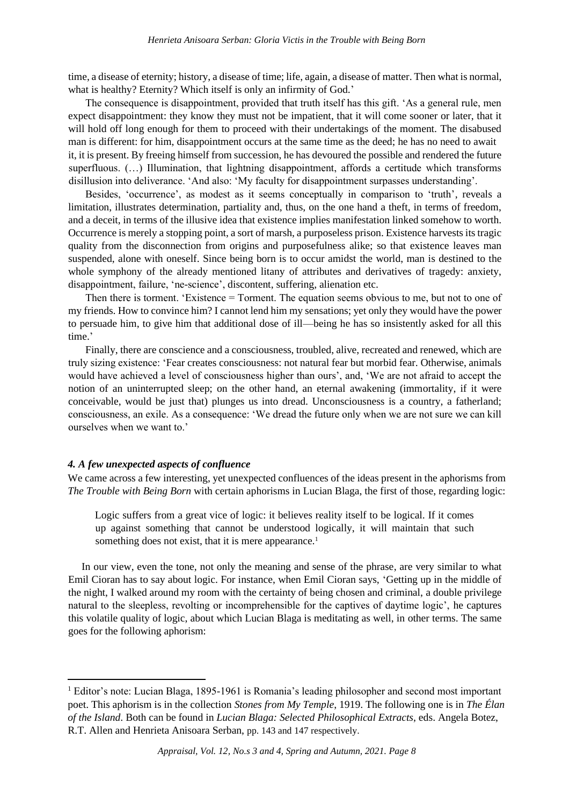time, a disease of eternity; history, a disease of time; life, again, a disease of matter. Then what is normal, what is healthy? Eternity? Which itself is only an infirmity of God.'

The consequence is disappointment, provided that truth itself has this gift. 'As a general rule, men expect disappointment: they know they must not be impatient, that it will come sooner or later, that it will hold off long enough for them to proceed with their undertakings of the moment. The disabused man is different: for him, disappointment occurs at the same time as the deed; he has no need to await it, it is present. By freeing himself from succession, he has devoured the possible and rendered the future superfluous. (...) Illumination, that lightning disappointment, affords a certitude which transforms disillusion into deliverance. 'And also: 'My faculty for disappointment surpasses understanding'.

Besides, 'occurrence', as modest as it seems conceptually in comparison to 'truth', reveals a limitation, illustrates determination, partiality and, thus, on the one hand a theft, in terms of freedom, and a deceit, in terms of the illusive idea that existence implies manifestation linked somehow to worth. Occurrence is merely a stopping point, a sort of marsh, a purposeless prison. Existence harvests its tragic quality from the disconnection from origins and purposefulness alike; so that existence leaves man suspended, alone with oneself. Since being born is to occur amidst the world, man is destined to the whole symphony of the already mentioned litany of attributes and derivatives of tragedy: anxiety, disappointment, failure, 'ne-science', discontent, suffering, alienation etc.

Then there is torment. 'Existence = Torment. The equation seems obvious to me, but not to one of my friends. How to convince him? I cannot lend him my sensations; yet only they would have the power to persuade him, to give him that additional dose of ill—being he has so insistently asked for all this time.'

Finally, there are conscience and a consciousness, troubled, alive, recreated and renewed, which are truly sizing existence: 'Fear creates consciousness: not natural fear but morbid fear. Otherwise, animals would have achieved a level of consciousness higher than ours', and, 'We are not afraid to accept the notion of an uninterrupted sleep; on the other hand, an eternal awakening (immortality, if it were conceivable, would be just that) plunges us into dread. Unconsciousness is a country, a fatherland; consciousness, an exile. As a consequence: 'We dread the future only when we are not sure we can kill ourselves when we want to.'

# *4. A few unexpected aspects of confluence*

We came across a few interesting, yet unexpected confluences of the ideas present in the aphorisms from *The Trouble with Being Born* with certain aphorisms in Lucian Blaga, the first of those, regarding logic:

Logic suffers from a great vice of logic: it believes reality itself to be logical. If it comes up against something that cannot be understood logically, it will maintain that such something does not exist, that it is mere appearance*.* 1

In our view, even the tone, not only the meaning and sense of the phrase, are very similar to what Emil Cioran has to say about logic. For instance, when Emil Cioran says, 'Getting up in the middle of the night, I walked around my room with the certainty of being chosen and criminal, a double privilege natural to the sleepless, revolting or incomprehensible for the captives of daytime logic', he captures this volatile quality of logic, about which Lucian Blaga is meditating as well, in other terms. The same goes for the following aphorism:

<sup>&</sup>lt;sup>1</sup> Editor's note: Lucian Blaga, 1895-1961 is Romania's leading philosopher and second most important poet. This aphorism is in the collection *Stones from My Temple*, 1919. The following one is in *The Élan of the Island*. Both can be found in *Lucian Blaga: Selected Philosophical Extracts*, eds. Angela Botez, R.T. Allen and Henrieta Anisoara Serban, pp. 143 and 147 respectively.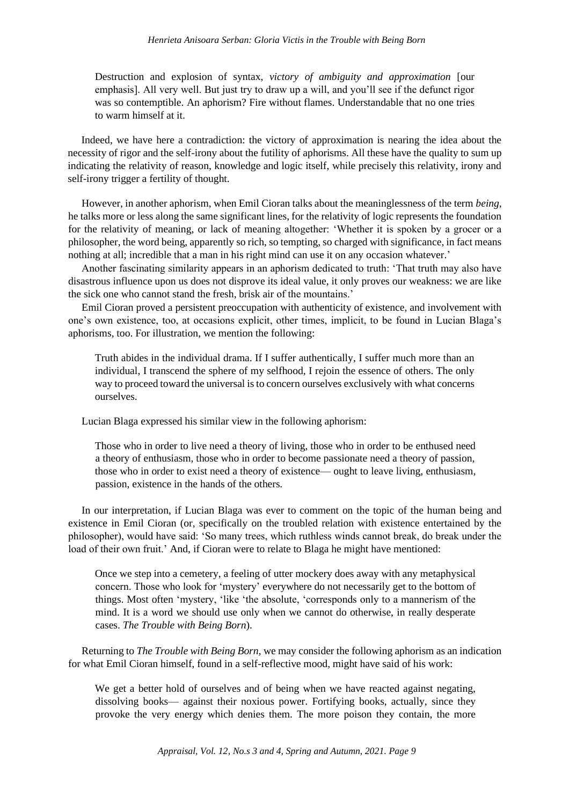Destruction and explosion of syntax, *victory of ambiguity and approximation* [our emphasis]. All very well. But just try to draw up a will, and you'll see if the defunct rigor was so contemptible. An aphorism? Fire without flames. Understandable that no one tries to warm himself at it.

Indeed, we have here a contradiction: the victory of approximation is nearing the idea about the necessity of rigor and the self-irony about the futility of aphorisms. All these have the quality to sum up indicating the relativity of reason, knowledge and logic itself, while precisely this relativity, irony and self-irony trigger a fertility of thought.

However, in another aphorism, when Emil Cioran talks about the meaninglessness of the term *being,*  he talks more or less along the same significant lines, for the relativity of logic represents the foundation for the relativity of meaning, or lack of meaning altogether: 'Whether it is spoken by a grocer or a philosopher, the word being, apparently so rich, so tempting, so charged with significance, in fact means nothing at all; incredible that a man in his right mind can use it on any occasion whatever.'

Another fascinating similarity appears in an aphorism dedicated to truth: 'That truth may also have disastrous influence upon us does not disprove its ideal value, it only proves our weakness: we are like the sick one who cannot stand the fresh, brisk air of the mountains.'

Emil Cioran proved a persistent preoccupation with authenticity of existence, and involvement with one's own existence, too, at occasions explicit, other times, implicit, to be found in Lucian Blaga's aphorisms, too. For illustration, we mention the following:

Truth abides in the individual drama. If I suffer authentically, I suffer much more than an individual, I transcend the sphere of my selfhood, I rejoin the essence of others. The only way to proceed toward the universal is to concern ourselves exclusively with what concerns ourselves.

Lucian Blaga expressed his similar view in the following aphorism:

Those who in order to live need a theory of living, those who in order to be enthused need a theory of enthusiasm, those who in order to become passionate need a theory of passion, those who in order to exist need a theory of existence— ought to leave living, enthusiasm, passion, existence in the hands of the others.

In our interpretation, if Lucian Blaga was ever to comment on the topic of the human being and existence in Emil Cioran (or, specifically on the troubled relation with existence entertained by the philosopher), would have said: 'So many trees, which ruthless winds cannot break, do break under the load of their own fruit.' And, if Cioran were to relate to Blaga he might have mentioned:

Once we step into a cemetery, a feeling of utter mockery does away with any metaphysical concern. Those who look for 'mystery' everywhere do not necessarily get to the bottom of things. Most often 'mystery, 'like 'the absolute, 'corresponds only to a mannerism of the mind. It is a word we should use only when we cannot do otherwise, in really desperate cases. *The Trouble with Being Born*).

Returning to *The Trouble with Being Born,* we may consider the following aphorism as an indication for what Emil Cioran himself, found in a self-reflective mood, might have said of his work:

We get a better hold of ourselves and of being when we have reacted against negating, dissolving books— against their noxious power. Fortifying books, actually, since they provoke the very energy which denies them. The more poison they contain, the more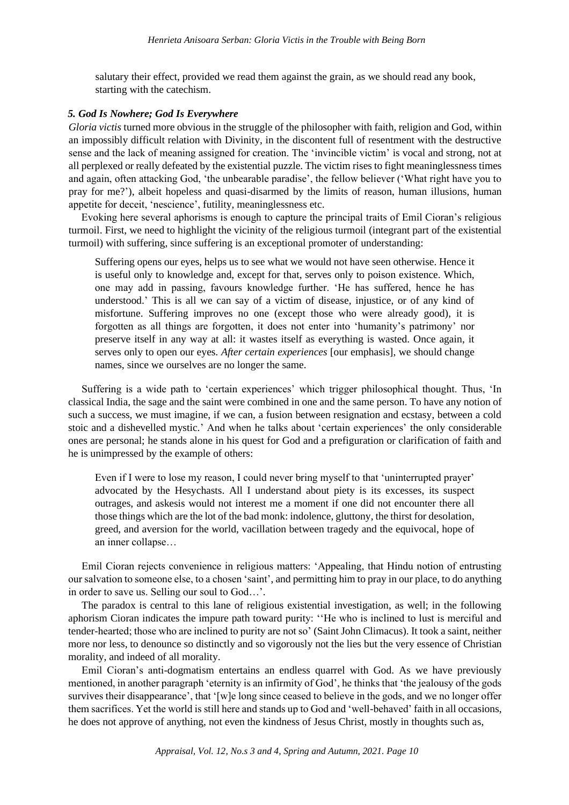salutary their effect, provided we read them against the grain, as we should read any book, starting with the catechism.

## *5. God Is Nowhere; God Is Everywhere*

*Gloria victis* turned more obvious in the struggle of the philosopher with faith, religion and God, within an impossibly difficult relation with Divinity, in the discontent full of resentment with the destructive sense and the lack of meaning assigned for creation. The 'invincible victim' is vocal and strong, not at all perplexed or really defeated by the existential puzzle. The victim rises to fight meaninglessness times and again, often attacking God, 'the unbearable paradise', the fellow believer ('What right have you to pray for me?'), albeit hopeless and quasi-disarmed by the limits of reason, human illusions, human appetite for deceit, 'nescience', futility, meaninglessness etc.

Evoking here several aphorisms is enough to capture the principal traits of Emil Cioran's religious turmoil. First, we need to highlight the vicinity of the religious turmoil (integrant part of the existential turmoil) with suffering, since suffering is an exceptional promoter of understanding:

Suffering opens our eyes, helps us to see what we would not have seen otherwise. Hence it is useful only to knowledge and, except for that, serves only to poison existence. Which, one may add in passing, favours knowledge further. 'He has suffered, hence he has understood.' This is all we can say of a victim of disease, injustice, or of any kind of misfortune. Suffering improves no one (except those who were already good), it is forgotten as all things are forgotten, it does not enter into 'humanity's patrimony' nor preserve itself in any way at all: it wastes itself as everything is wasted. Once again, it serves only to open our eyes. *After certain experiences* [our emphasis], we should change names, since we ourselves are no longer the same.

Suffering is a wide path to 'certain experiences' which trigger philosophical thought. Thus, 'In classical India, the sage and the saint were combined in one and the same person. To have any notion of such a success, we must imagine, if we can, a fusion between resignation and ecstasy, between a cold stoic and a dishevelled mystic.' And when he talks about 'certain experiences' the only considerable ones are personal; he stands alone in his quest for God and a prefiguration or clarification of faith and he is unimpressed by the example of others:

Even if I were to lose my reason, I could never bring myself to that 'uninterrupted prayer' advocated by the Hesychasts. All I understand about piety is its excesses, its suspect outrages, and askesis would not interest me a moment if one did not encounter there all those things which are the lot of the bad monk: indolence, gluttony, the thirst for desolation, greed, and aversion for the world, vacillation between tragedy and the equivocal, hope of an inner collapse…

Emil Cioran rejects convenience in religious matters: 'Appealing, that Hindu notion of entrusting our salvation to someone else, to a chosen 'saint', and permitting him to pray in our place, to do anything in order to save us. Selling our soul to God…'.

The paradox is central to this lane of religious existential investigation, as well; in the following aphorism Cioran indicates the impure path toward purity: ''He who is inclined to lust is merciful and tender-hearted; those who are inclined to purity are not so' (Saint John Climacus). It took a saint, neither more nor less, to denounce so distinctly and so vigorously not the lies but the very essence of Christian morality, and indeed of all morality.

Emil Cioran's anti-dogmatism entertains an endless quarrel with God. As we have previously mentioned, in another paragraph 'eternity is an infirmity of God', he thinks that 'the jealousy of the gods survives their disappearance', that '[w]e long since ceased to believe in the gods, and we no longer offer them sacrifices. Yet the world is still here and stands up to God and 'well-behaved' faith in all occasions, he does not approve of anything, not even the kindness of Jesus Christ, mostly in thoughts such as,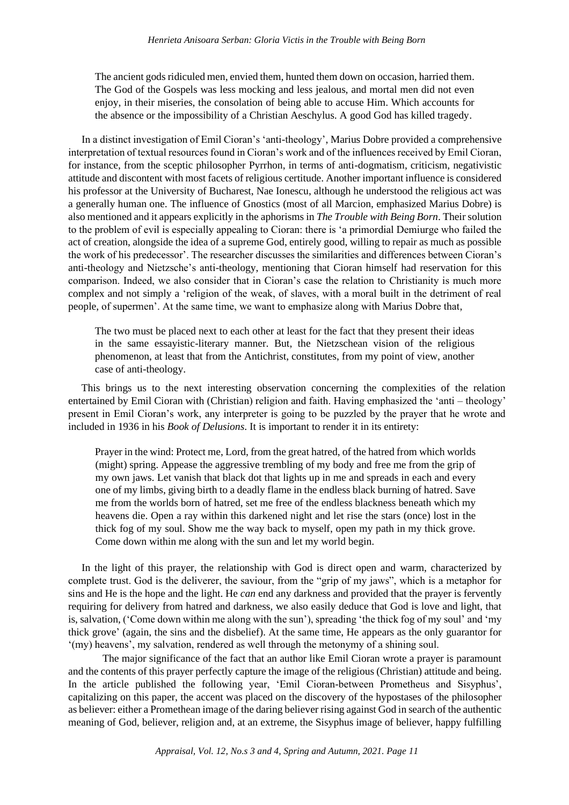The ancient gods ridiculed men, envied them, hunted them down on occasion, harried them. The God of the Gospels was less mocking and less jealous, and mortal men did not even enjoy, in their miseries, the consolation of being able to accuse Him. Which accounts for the absence or the impossibility of a Christian Aeschylus. A good God has killed tragedy.

In a distinct investigation of Emil Cioran's 'anti-theology', Marius Dobre provided a comprehensive interpretation of textual resources found in Cioran's work and of the influences received by Emil Cioran, for instance, from the sceptic philosopher Pyrrhon, in terms of anti-dogmatism, criticism, negativistic attitude and discontent with most facets of religious certitude. Another important influence is considered his professor at the University of Bucharest, Nae Ionescu, although he understood the religious act was a generally human one. The influence of Gnostics (most of all Marcion, emphasized Marius Dobre) is also mentioned and it appears explicitly in the aphorisms in *The Trouble with Being Born*. Their solution to the problem of evil is especially appealing to Cioran: there is 'a primordial Demiurge who failed the act of creation, alongside the idea of a supreme God, entirely good, willing to repair as much as possible the work of his predecessor'. The researcher discusses the similarities and differences between Cioran's anti-theology and Nietzsche's anti-theology, mentioning that Cioran himself had reservation for this comparison. Indeed, we also consider that in Cioran's case the relation to Christianity is much more complex and not simply a 'religion of the weak, of slaves, with a moral built in the detriment of real people, of supermen'. At the same time, we want to emphasize along with Marius Dobre that,

The two must be placed next to each other at least for the fact that they present their ideas in the same essayistic-literary manner. But, the Nietzschean vision of the religious phenomenon, at least that from the Antichrist, constitutes, from my point of view, another case of anti-theology.

This brings us to the next interesting observation concerning the complexities of the relation entertained by Emil Cioran with (Christian) religion and faith. Having emphasized the 'anti – theology' present in Emil Cioran's work, any interpreter is going to be puzzled by the prayer that he wrote and included in 1936 in his *Book of Delusions*. It is important to render it in its entirety:

Prayer in the wind: Protect me, Lord, from the great hatred, of the hatred from which worlds (might) spring. Appease the aggressive trembling of my body and free me from the grip of my own jaws. Let vanish that black dot that lights up in me and spreads in each and every one of my limbs, giving birth to a deadly flame in the endless black burning of hatred. Save me from the worlds born of hatred, set me free of the endless blackness beneath which my heavens die. Open a ray within this darkened night and let rise the stars (once) lost in the thick fog of my soul. Show me the way back to myself, open my path in my thick grove. Come down within me along with the sun and let my world begin.

In the light of this prayer, the relationship with God is direct open and warm, characterized by complete trust. God is the deliverer, the saviour, from the "grip of my jaws", which is a metaphor for sins and He is the hope and the light. He *can* end any darkness and provided that the prayer is fervently requiring for delivery from hatred and darkness, we also easily deduce that God is love and light, that is, salvation, ('Come down within me along with the sun'), spreading 'the thick fog of my soul' and 'my thick grove' (again, the sins and the disbelief). At the same time, He appears as the only guarantor for '(my) heavens', my salvation, rendered as well through the metonymy of a shining soul.

The major significance of the fact that an author like Emil Cioran wrote a prayer is paramount and the contents of this prayer perfectly capture the image of the religious (Christian) attitude and being. In the article published the following year, 'Emil Cioran-between Prometheus and Sisyphus', capitalizing on this paper, the accent was placed on the discovery of the hypostases of the philosopher as believer: either a Promethean image of the daring believer rising against God in search of the authentic meaning of God, believer, religion and, at an extreme, the Sisyphus image of believer, happy fulfilling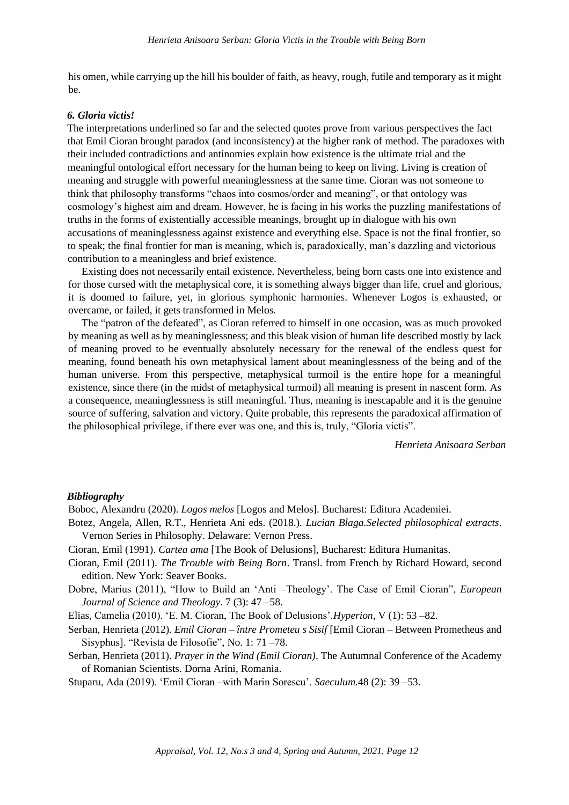his omen, while carrying up the hill his boulder of faith, as heavy, rough, futile and temporary as it might be.

## *6. Gloria victis!*

The interpretations underlined so far and the selected quotes prove from various perspectives the fact that Emil Cioran brought paradox (and inconsistency) at the higher rank of method. The paradoxes with their included contradictions and antinomies explain how existence is the ultimate trial and the meaningful ontological effort necessary for the human being to keep on living. Living is creation of meaning and struggle with powerful meaninglessness at the same time. Cioran was not someone to think that philosophy transforms "chaos into cosmos/order and meaning", or that ontology was cosmology's highest aim and dream. However, he is facing in his works the puzzling manifestations of truths in the forms of existentially accessible meanings, brought up in dialogue with his own accusations of meaninglessness against existence and everything else. Space is not the final frontier, so to speak; the final frontier for man is meaning, which is, paradoxically, man's dazzling and victorious contribution to a meaningless and brief existence.

Existing does not necessarily entail existence. Nevertheless, being born casts one into existence and for those cursed with the metaphysical core, it is something always bigger than life, cruel and glorious, it is doomed to failure, yet, in glorious symphonic harmonies. Whenever Logos is exhausted, or overcame, or failed, it gets transformed in Melos.

The "patron of the defeated", as Cioran referred to himself in one occasion, was as much provoked by meaning as well as by meaninglessness; and this bleak vision of human life described mostly by lack of meaning proved to be eventually absolutely necessary for the renewal of the endless quest for meaning, found beneath his own metaphysical lament about meaninglessness of the being and of the human universe. From this perspective, metaphysical turmoil is the entire hope for a meaningful existence, since there (in the midst of metaphysical turmoil) all meaning is present in nascent form. As a consequence, meaninglessness is still meaningful. Thus, meaning is inescapable and it is the genuine source of suffering, salvation and victory. Quite probable, this represents the paradoxical affirmation of the philosophical privilege, if there ever was one, and this is, truly, "Gloria victis".

*Henrieta Anisoara Serban*

# *Bibliography*

Boboc, Alexandru (2020). *Logos melos* [Logos and Melos]. Bucharest: Editura Academiei.

- Botez, Angela, Allen, R.T., Henrieta Ani eds. (2018.). *Lucian Blaga.Selected philosophical extracts*. Vernon Series in Philosophy. Delaware: Vernon Press.
- Cioran, Emil (1991). *Cartea ama* [The Book of Delusions], Bucharest: Editura Humanitas.
- Cioran, Emil (2011). *The Trouble with Being Born*. Transl. from French by Richard Howard, second edition. New York: Seaver Books.
- Dobre, Marius (2011), "How to Build an 'Anti –Theology'. The Case of Emil Cioran", *European Journal of Science and Theology*. 7 (3): 47 –58.

Elias, Camelia (2010). 'E. M. Cioran, The Book of Delusions'.*Hyperion*, V (1): 53 –82.

- Serban, Henrieta (2012). *Emil Cioran – între Prometeu s Sisif* [Emil Cioran Between Prometheus and Sisyphus]. "Revista de Filosofie", No. 1: 71 –78.
- Serban, Henrieta (2011). *Prayer in the Wind (Emil Cioran)*. The Autumnal Conference of the Academy of Romanian Scientists. Dorna Arini, Romania.

Stuparu, Ada (2019). 'Emil Cioran –with Marin Sorescu'. *Saeculum.*48 (2): 39 –53.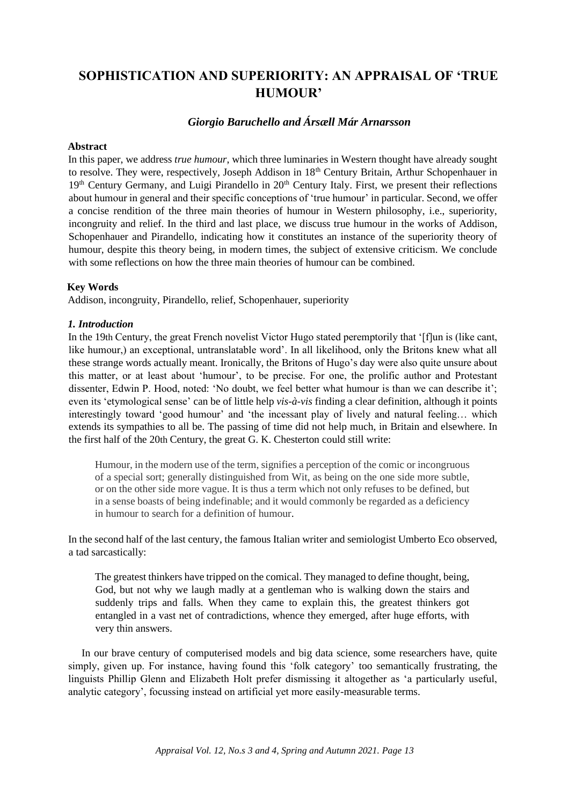# **SOPHISTICATION AND SUPERIORITY: AN APPRAISAL OF 'TRUE HUMOUR'**

# *Giorgio Baruchello and Ársæll Már Arnarsson*

# **Abstract**

In this paper, we address *true humour*, which three luminaries in Western thought have already sought to resolve. They were, respectively, Joseph Addison in 18<sup>th</sup> Century Britain, Arthur Schopenhauer in 19<sup>th</sup> Century Germany, and Luigi Pirandello in 20<sup>th</sup> Century Italy. First, we present their reflections about humour in general and their specific conceptions of 'true humour' in particular. Second, we offer a concise rendition of the three main theories of humour in Western philosophy, i.e., superiority, incongruity and relief. In the third and last place, we discuss true humour in the works of Addison, Schopenhauer and Pirandello, indicating how it constitutes an instance of the superiority theory of humour, despite this theory being, in modern times, the subject of extensive criticism. We conclude with some reflections on how the three main theories of humour can be combined.

# **Key Words**

Addison, incongruity, Pirandello, relief, Schopenhauer, superiority

# *1. Introduction*

In the 19th Century, the great French novelist Victor Hugo stated peremptorily that '[f]un is (like cant, like humour,) an exceptional, untranslatable word'. In all likelihood, only the Britons knew what all these strange words actually meant. Ironically, the Britons of Hugo's day were also quite unsure about this matter, or at least about 'humour', to be precise. For one, the prolific author and Protestant dissenter, Edwin P. Hood, noted: 'No doubt, we feel better what humour is than we can describe it'; even its 'etymological sense' can be of little help *vis-à-vis* finding a clear definition, although it points interestingly toward 'good humour' and 'the incessant play of lively and natural feeling… which extends its sympathies to all be. The passing of time did not help much, in Britain and elsewhere. In the first half of the 20th Century, the great G. K. Chesterton could still write:

Humour, in the modern use of the term, signifies a perception of the comic or incongruous of a special sort; generally distinguished from Wit, as being on the one side more subtle, or on the other side more vague. It is thus a term which not only refuses to be defined, but in a sense boasts of being indefinable; and it would commonly be regarded as a deficiency in humour to search for a definition of humour.

In the second half of the last century, the famous Italian writer and semiologist Umberto Eco observed, a tad sarcastically:

The greatest thinkers have tripped on the comical. They managed to define thought, being, God, but not why we laugh madly at a gentleman who is walking down the stairs and suddenly trips and falls. When they came to explain this, the greatest thinkers got entangled in a vast net of contradictions, whence they emerged, after huge efforts, with very thin answers.

In our brave century of computerised models and big data science, some researchers have, quite simply, given up. For instance, having found this 'folk category' too semantically frustrating, the linguists Phillip Glenn and Elizabeth Holt prefer dismissing it altogether as 'a particularly useful, analytic category', focussing instead on artificial yet more easily-measurable terms.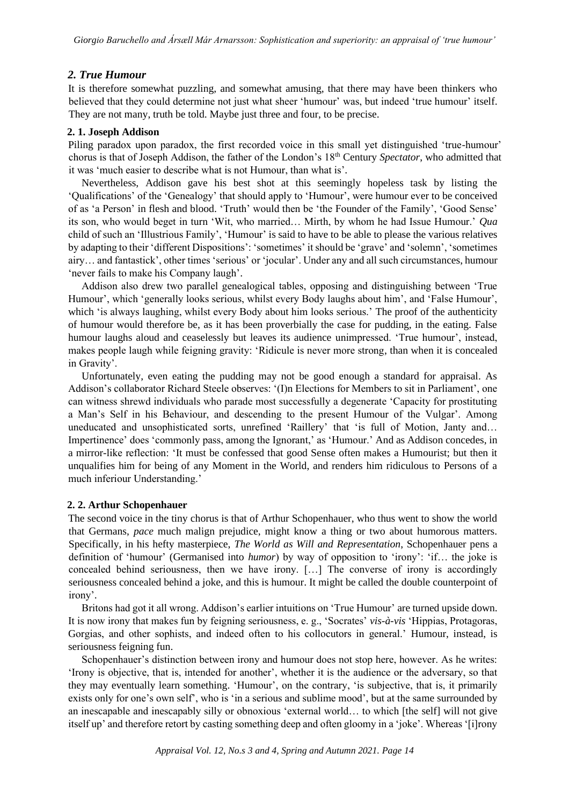# *2. True Humour*

It is therefore somewhat puzzling, and somewhat amusing, that there may have been thinkers who believed that they could determine not just what sheer 'humour' was, but indeed 'true humour' itself. They are not many, truth be told. Maybe just three and four, to be precise.

# **2. 1. Joseph Addison**

Piling paradox upon paradox, the first recorded voice in this small yet distinguished 'true-humour' chorus is that of Joseph Addison, the father of the London's 18th Century *Spectator*, who admitted that it was 'much easier to describe what is not Humour, than what is'.

Nevertheless, Addison gave his best shot at this seemingly hopeless task by listing the 'Qualifications' of the 'Genealogy' that should apply to 'Humour', were humour ever to be conceived of as 'a Person' in flesh and blood. 'Truth' would then be 'the Founder of the Family', 'Good Sense' its son, who would beget in turn 'Wit, who married… Mirth, by whom he had Issue Humour.' *Qua*  child of such an 'Illustrious Family', 'Humour' is said to have to be able to please the various relatives by adapting to their 'different Dispositions': 'sometimes' it should be 'grave' and 'solemn', 'sometimes airy… and fantastick', other times 'serious' or 'jocular'. Under any and all such circumstances, humour 'never fails to make his Company laugh'.

Addison also drew two parallel genealogical tables, opposing and distinguishing between 'True Humour', which 'generally looks serious, whilst every Body laughs about him', and 'False Humour', which 'is always laughing, whilst every Body about him looks serious.' The proof of the authenticity of humour would therefore be, as it has been proverbially the case for pudding, in the eating. False humour laughs aloud and ceaselessly but leaves its audience unimpressed. 'True humour', instead, makes people laugh while feigning gravity: 'Ridicule is never more strong, than when it is concealed in Gravity'.

Unfortunately, even eating the pudding may not be good enough a standard for appraisal. As Addison's collaborator Richard Steele observes: '(I)n Elections for Members to sit in Parliament', one can witness shrewd individuals who parade most successfully a degenerate 'Capacity for prostituting a Man's Self in his Behaviour, and descending to the present Humour of the Vulgar'. Among uneducated and unsophisticated sorts, unrefined 'Raillery' that 'is full of Motion, Janty and… Impertinence' does 'commonly pass, among the Ignorant,' as 'Humour.' And as Addison concedes, in a mirror-like reflection: 'It must be confessed that good Sense often makes a Humourist; but then it unqualifies him for being of any Moment in the World, and renders him ridiculous to Persons of a much inferiour Understanding.'

# **2. 2. Arthur Schopenhauer**

The second voice in the tiny chorus is that of Arthur Schopenhauer, who thus went to show the world that Germans, *pace* much malign prejudice, might know a thing or two about humorous matters. Specifically, in his hefty masterpiece, *The World as Will and Representation*, Schopenhauer pens a definition of 'humour' (Germanised into *humor*) by way of opposition to 'irony': 'if… the joke is concealed behind seriousness, then we have irony. […] The converse of irony is accordingly seriousness concealed behind a joke, and this is humour. It might be called the double counterpoint of irony'.

Britons had got it all wrong. Addison's earlier intuitions on 'True Humour' are turned upside down. It is now irony that makes fun by feigning seriousness, e. g., 'Socrates' *vis-à-vis* 'Hippias, Protagoras, Gorgias, and other sophists, and indeed often to his collocutors in general.' Humour, instead, is seriousness feigning fun.

Schopenhauer's distinction between irony and humour does not stop here, however. As he writes: 'Irony is objective, that is, intended for another', whether it is the audience or the adversary, so that they may eventually learn something. 'Humour', on the contrary, 'is subjective, that is, it primarily exists only for one's own self', who is 'in a serious and sublime mood', but at the same surrounded by an inescapable and inescapably silly or obnoxious 'external world… to which [the self] will not give itself up' and therefore retort by casting something deep and often gloomy in a 'joke'. Whereas '[i]rony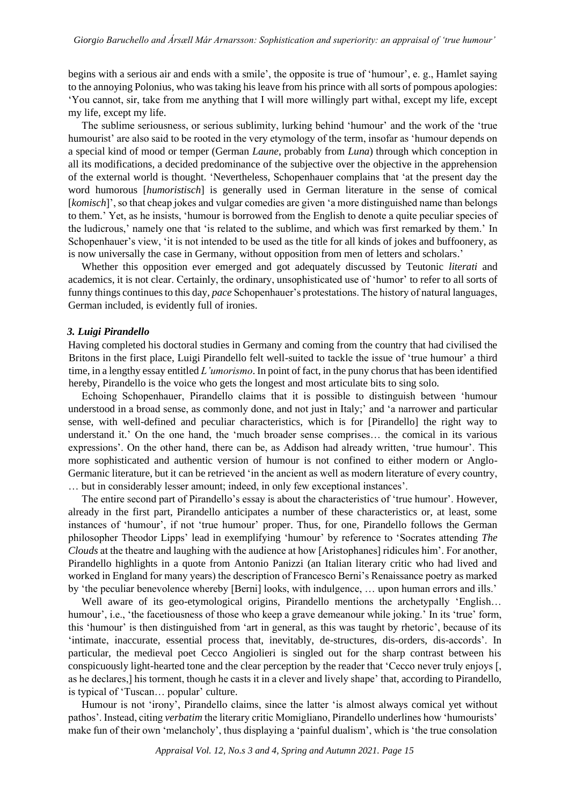begins with a serious air and ends with a smile', the opposite is true of 'humour', e. g., Hamlet saying to the annoying Polonius, who was taking his leave from his prince with all sorts of pompous apologies: 'You cannot, sir, take from me anything that I will more willingly part withal, except my life, except my life, except my life.

The sublime seriousness, or serious sublimity, lurking behind 'humour' and the work of the 'true humourist' are also said to be rooted in the very etymology of the term, insofar as 'humour depends on a special kind of mood or temper (German *Laune*, probably from *Luna*) through which conception in all its modifications, a decided predominance of the subjective over the objective in the apprehension of the external world is thought. 'Nevertheless, Schopenhauer complains that 'at the present day the word humorous [*humoristisch*] is generally used in German literature in the sense of comical [*komisch*]', so that cheap jokes and vulgar comedies are given 'a more distinguished name than belongs to them.' Yet, as he insists, 'humour is borrowed from the English to denote a quite peculiar species of the ludicrous,' namely one that 'is related to the sublime, and which was first remarked by them.' In Schopenhauer's view, 'it is not intended to be used as the title for all kinds of jokes and buffoonery, as is now universally the case in Germany, without opposition from men of letters and scholars.'

Whether this opposition ever emerged and got adequately discussed by Teutonic *literati* and academics, it is not clear. Certainly, the ordinary, unsophisticated use of 'humor' to refer to all sorts of funny things continues to this day, *pace* Schopenhauer's protestations. The history of natural languages, German included, is evidently full of ironies.

#### *3. Luigi Pirandello*

Having completed his doctoral studies in Germany and coming from the country that had civilised the Britons in the first place, Luigi Pirandello felt well-suited to tackle the issue of 'true humour' a third time, in a lengthy essay entitled *L'umorismo*. In point of fact, in the puny chorus that has been identified hereby, Pirandello is the voice who gets the longest and most articulate bits to sing solo.

Echoing Schopenhauer, Pirandello claims that it is possible to distinguish between 'humour understood in a broad sense, as commonly done, and not just in Italy;' and 'a narrower and particular sense, with well-defined and peculiar characteristics, which is for [Pirandello] the right way to understand it.' On the one hand, the 'much broader sense comprises… the comical in its various expressions'. On the other hand, there can be, as Addison had already written, 'true humour'. This more sophisticated and authentic version of humour is not confined to either modern or Anglo-Germanic literature, but it can be retrieved 'in the ancient as well as modern literature of every country, … but in considerably lesser amount; indeed, in only few exceptional instances'.

The entire second part of Pirandello's essay is about the characteristics of 'true humour'. However, already in the first part, Pirandello anticipates a number of these characteristics or, at least, some instances of 'humour', if not 'true humour' proper. Thus, for one, Pirandello follows the German philosopher Theodor Lipps' lead in exemplifying 'humour' by reference to 'Socrates attending *The Clouds* at the theatre and laughing with the audience at how [Aristophanes] ridicules him'. For another, Pirandello highlights in a quote from Antonio Panizzi (an Italian literary critic who had lived and worked in England for many years) the description of Francesco Berni's Renaissance poetry as marked by 'the peculiar benevolence whereby [Berni] looks, with indulgence, ... upon human errors and ills.'

Well aware of its geo-etymological origins, Pirandello mentions the archetypally 'English... humour', i.e., 'the facetiousness of those who keep a grave demeanour while joking.' In its 'true' form, this 'humour' is then distinguished from 'art in general, as this was taught by rhetoric', because of its 'intimate, inaccurate, essential process that, inevitably, de-structures, dis-orders, dis-accords'. In particular, the medieval poet Cecco Angiolieri is singled out for the sharp contrast between his conspicuously light-hearted tone and the clear perception by the reader that 'Cecco never truly enjoys [, as he declares,] his torment, though he casts it in a clever and lively shape' that, according to Pirandello, is typical of 'Tuscan… popular' culture.

Humour is not 'irony', Pirandello claims, since the latter 'is almost always comical yet without pathos'. Instead, citing *verbatim* the literary critic Momigliano, Pirandello underlines how 'humourists' make fun of their own 'melancholy', thus displaying a 'painful dualism', which is 'the true consolation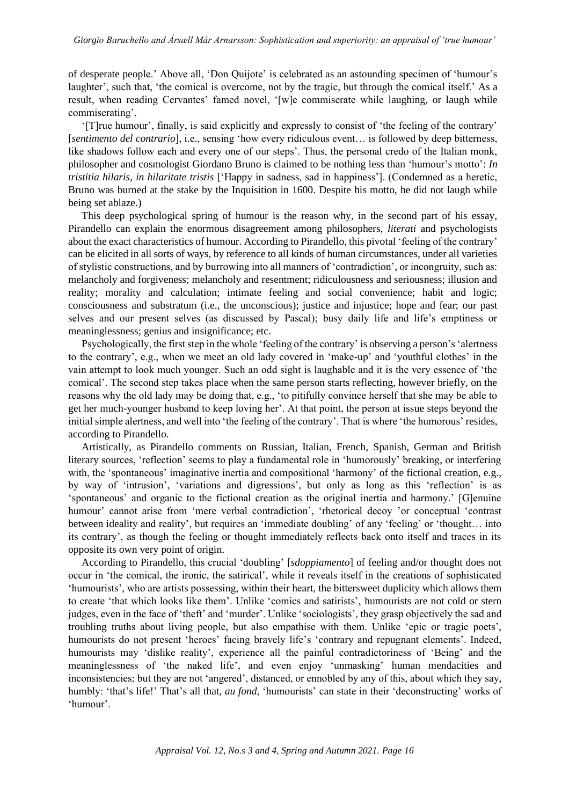of desperate people.' Above all, 'Don Quijote' is celebrated as an astounding specimen of 'humour's laughter', such that, 'the comical is overcome, not by the tragic, but through the comical itself.' As a result, when reading Cervantes' famed novel, '[w]e commiserate while laughing, or laugh while commiserating'.

'[T]rue humour', finally, is said explicitly and expressly to consist of 'the feeling of the contrary' [*sentimento del contrario*], i.e., sensing 'how every ridiculous event… is followed by deep bitterness, like shadows follow each and every one of our steps'. Thus, the personal credo of the Italian monk, philosopher and cosmologist Giordano Bruno is claimed to be nothing less than 'humour's motto': *In tristitia hilaris, in hilaritate tristis* ['Happy in sadness, sad in happiness']. (Condemned as a heretic, Bruno was burned at the stake by the Inquisition in 1600. Despite his motto, he did not laugh while being set ablaze.)

This deep psychological spring of humour is the reason why, in the second part of his essay, Pirandello can explain the enormous disagreement among philosophers, *literati* and psychologists about the exact characteristics of humour. According to Pirandello, this pivotal 'feeling of the contrary' can be elicited in all sorts of ways, by reference to all kinds of human circumstances, under all varieties of stylistic constructions, and by burrowing into all manners of 'contradiction', or incongruity, such as: melancholy and forgiveness; melancholy and resentment; ridiculousness and seriousness; illusion and reality; morality and calculation; intimate feeling and social convenience; habit and logic; consciousness and substratum (i.e., the unconscious); justice and injustice; hope and fear; our past selves and our present selves (as discussed by Pascal); busy daily life and life's emptiness or meaninglessness; genius and insignificance; etc.

Psychologically, the first step in the whole 'feeling of the contrary' is observing a person's 'alertness to the contrary', e.g., when we meet an old lady covered in 'make-up' and 'youthful clothes' in the vain attempt to look much younger. Such an odd sight is laughable and it is the very essence of 'the comical'. The second step takes place when the same person starts reflecting, however briefly, on the reasons why the old lady may be doing that, e.g., 'to pitifully convince herself that she may be able to get her much-younger husband to keep loving her'. At that point, the person at issue steps beyond the initial simple alertness, and well into 'the feeling of the contrary'. That is where 'the humorous' resides, according to Pirandello.

Artistically, as Pirandello comments on Russian, Italian, French, Spanish, German and British literary sources, 'reflection' seems to play a fundamental role in 'humorously' breaking, or interfering with, the 'spontaneous' imaginative inertia and compositional 'harmony' of the fictional creation, e.g., by way of 'intrusion', 'variations and digressions', but only as long as this 'reflection' is as 'spontaneous' and organic to the fictional creation as the original inertia and harmony.' [G]enuine humour' cannot arise from 'mere verbal contradiction', 'rhetorical decoy 'or conceptual 'contrast between ideality and reality', but requires an 'immediate doubling' of any 'feeling' or 'thought… into its contrary', as though the feeling or thought immediately reflects back onto itself and traces in its opposite its own very point of origin.

According to Pirandello, this crucial 'doubling' [*sdoppiamento*] of feeling and/or thought does not occur in 'the comical, the ironic, the satirical', while it reveals itself in the creations of sophisticated 'humourists', who are artists possessing, within their heart, the bittersweet duplicity which allows them to create 'that which looks like them'. Unlike 'comics and satirists', humourists are not cold or stern judges, even in the face of 'theft' and 'murder'. Unlike 'sociologists', they grasp objectively the sad and troubling truths about living people, but also empathise with them. Unlike 'epic or tragic poets', humourists do not present 'heroes' facing bravely life's 'contrary and repugnant elements'. Indeed, humourists may 'dislike reality', experience all the painful contradictoriness of 'Being' and the meaninglessness of 'the naked life', and even enjoy 'unmasking' human mendacities and inconsistencies; but they are not 'angered', distanced, or ennobled by any of this, about which they say, humbly: 'that's life!' That's all that, *au fond*, 'humourists' can state in their 'deconstructing' works of 'humour'.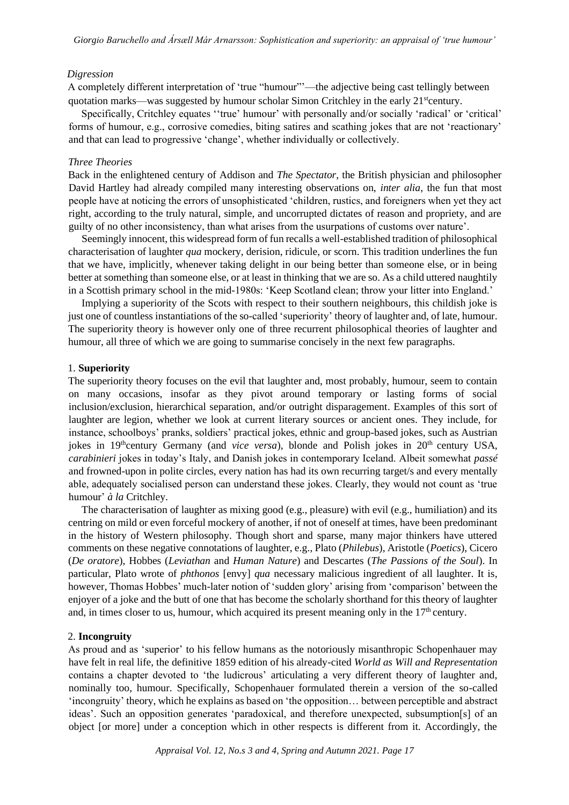#### *Digression*

A completely different interpretation of 'true "humour"'—the adjective being cast tellingly between quotation marks—was suggested by humour scholar Simon Critchley in the early 21<sup>st</sup>century.

Specifically, Critchley equates ''true' humour' with personally and/or socially 'radical' or 'critical' forms of humour, e.g., corrosive comedies, biting satires and scathing jokes that are not 'reactionary' and that can lead to progressive 'change', whether individually or collectively.

# *Three Theories*

Back in the enlightened century of Addison and *The Spectator*, the British physician and philosopher David Hartley had already compiled many interesting observations on, *inter alia*, the fun that most people have at noticing the errors of unsophisticated 'children, rustics, and foreigners when yet they act right, according to the truly natural, simple, and uncorrupted dictates of reason and propriety, and are guilty of no other inconsistency, than what arises from the usurpations of customs over nature'.

Seemingly innocent, this widespread form of fun recalls a well-established tradition of philosophical characterisation of laughter *qua* mockery, derision, ridicule, or scorn. This tradition underlines the fun that we have, implicitly, whenever taking delight in our being better than someone else, or in being better at something than someone else, or at least in thinking that we are so. As a child uttered naughtily in a Scottish primary school in the mid-1980s: 'Keep Scotland clean; throw your litter into England.'

Implying a superiority of the Scots with respect to their southern neighbours, this childish joke is just one of countless instantiations of the so-called 'superiority' theory of laughter and, of late, humour. The superiority theory is however only one of three recurrent philosophical theories of laughter and humour, all three of which we are going to summarise concisely in the next few paragraphs.

# 1. **Superiority**

The superiority theory focuses on the evil that laughter and, most probably, humour, seem to contain on many occasions, insofar as they pivot around temporary or lasting forms of social inclusion/exclusion, hierarchical separation, and/or outright disparagement. Examples of this sort of laughter are legion, whether we look at current literary sources or ancient ones. They include, for instance, schoolboys' pranks, soldiers' practical jokes, ethnic and group-based jokes, such as Austrian jokes in 19<sup>th</sup>century Germany (and *vice versa*), blonde and Polish jokes in 20<sup>th</sup> century USA, *carabinieri* jokes in today's Italy, and Danish jokes in contemporary Iceland. Albeit somewhat *passé* and frowned-upon in polite circles, every nation has had its own recurring target/s and every mentally able, adequately socialised person can understand these jokes. Clearly, they would not count as 'true humour' *à la* Critchley.

The characterisation of laughter as mixing good (e.g., pleasure) with evil (e.g., humiliation) and its centring on mild or even forceful mockery of another, if not of oneself at times, have been predominant in the history of Western philosophy. Though short and sparse, many major thinkers have uttered comments on these negative connotations of laughter, e.g., Plato (*Philebus*), Aristotle (*Poetics*), Cicero (*De oratore*), Hobbes (*Leviathan* and *Human Nature*) and Descartes (*The Passions of the Soul*). In particular, Plato wrote of *phthonos* [envy] *qua* necessary malicious ingredient of all laughter. It is, however, Thomas Hobbes' much-later notion of 'sudden glory' arising from 'comparison' between the enjoyer of a joke and the butt of one that has become the scholarly shorthand for this theory of laughter and, in times closer to us, humour, which acquired its present meaning only in the  $17<sup>th</sup>$  century.

# 2. **Incongruity**

As proud and as 'superior' to his fellow humans as the notoriously misanthropic Schopenhauer may have felt in real life, the definitive 1859 edition of his already-cited *World as Will and Representation* contains a chapter devoted to 'the ludicrous' articulating a very different theory of laughter and, nominally too, humour. Specifically, Schopenhauer formulated therein a version of the so-called 'incongruity' theory, which he explains as based on 'the opposition… between perceptible and abstract ideas'. Such an opposition generates 'paradoxical, and therefore unexpected, subsumption[s] of an object [or more] under a conception which in other respects is different from it. Accordingly, the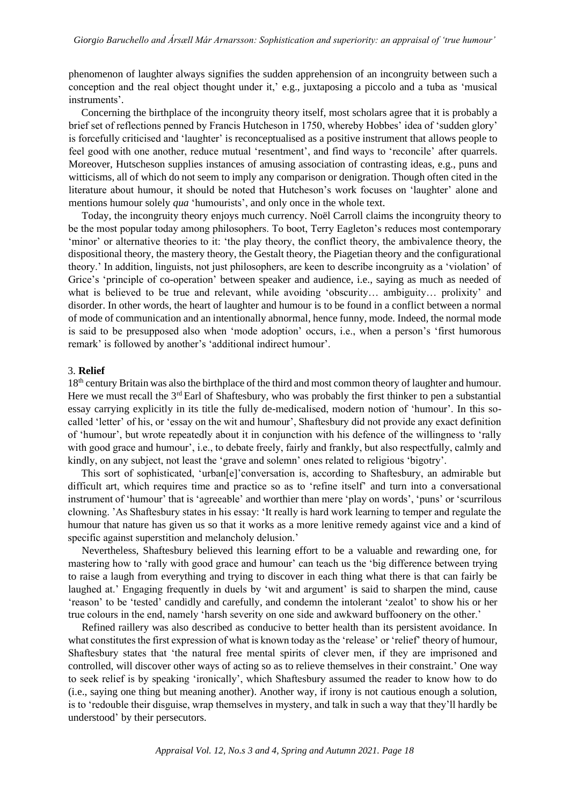phenomenon of laughter always signifies the sudden apprehension of an incongruity between such a conception and the real object thought under it,' e.g., juxtaposing a piccolo and a tuba as 'musical instruments'.

Concerning the birthplace of the incongruity theory itself, most scholars agree that it is probably a brief set of reflections penned by Francis Hutcheson in 1750, whereby Hobbes' idea of 'sudden glory' is forcefully criticised and 'laughter' is reconceptualised as a positive instrument that allows people to feel good with one another, reduce mutual 'resentment', and find ways to 'reconcile' after quarrels. Moreover, Hutscheson supplies instances of amusing association of contrasting ideas, e.g., puns and witticisms, all of which do not seem to imply any comparison or denigration. Though often cited in the literature about humour, it should be noted that Hutcheson's work focuses on 'laughter' alone and mentions humour solely *qua* 'humourists', and only once in the whole text.

Today, the incongruity theory enjoys much currency. Noël Carroll claims the incongruity theory to be the most popular today among philosophers. To boot, Terry Eagleton's reduces most contemporary 'minor' or alternative theories to it: 'the play theory, the conflict theory, the ambivalence theory, the dispositional theory, the mastery theory, the Gestalt theory, the Piagetian theory and the configurational theory.' In addition, linguists, not just philosophers, are keen to describe incongruity as a 'violation' of Grice's 'principle of co-operation' between speaker and audience, i.e., saying as much as needed of what is believed to be true and relevant, while avoiding 'obscurity… ambiguity… prolixity' and disorder. In other words, the heart of laughter and humour is to be found in a conflict between a normal of mode of communication and an intentionally abnormal, hence funny, mode. Indeed, the normal mode is said to be presupposed also when 'mode adoption' occurs, i.e., when a person's 'first humorous remark' is followed by another's 'additional indirect humour'.

# 3. **Relief**

18th century Britain was also the birthplace of the third and most common theory of laughter and humour. Here we must recall the 3<sup>rd</sup> Earl of Shaftesbury, who was probably the first thinker to pen a substantial essay carrying explicitly in its title the fully de-medicalised, modern notion of 'humour'. In this socalled 'letter' of his, or 'essay on the wit and humour', Shaftesbury did not provide any exact definition of 'humour', but wrote repeatedly about it in conjunction with his defence of the willingness to 'rally with good grace and humour', i.e., to debate freely, fairly and frankly, but also respectfully, calmly and kindly, on any subject, not least the 'grave and solemn' ones related to religious 'bigotry'.

This sort of sophisticated, 'urban[e]'conversation is, according to Shaftesbury, an admirable but difficult art, which requires time and practice so as to 'refine itself' and turn into a conversational instrument of 'humour' that is 'agreeable' and worthier than mere 'play on words', 'puns' or 'scurrilous clowning. 'As Shaftesbury states in his essay: 'It really is hard work learning to temper and regulate the humour that nature has given us so that it works as a more lenitive remedy against vice and a kind of specific against superstition and melancholy delusion.'

Nevertheless, Shaftesbury believed this learning effort to be a valuable and rewarding one, for mastering how to 'rally with good grace and humour' can teach us the 'big difference between trying to raise a laugh from everything and trying to discover in each thing what there is that can fairly be laughed at.' Engaging frequently in duels by 'wit and argument' is said to sharpen the mind, cause 'reason' to be 'tested' candidly and carefully, and condemn the intolerant 'zealot' to show his or her true colours in the end, namely 'harsh severity on one side and awkward buffoonery on the other.'

Refined raillery was also described as conducive to better health than its persistent avoidance. In what constitutes the first expression of what is known today as the 'release' or 'relief' theory of humour, Shaftesbury states that 'the natural free mental spirits of clever men, if they are imprisoned and controlled, will discover other ways of acting so as to relieve themselves in their constraint.' One way to seek relief is by speaking 'ironically', which Shaftesbury assumed the reader to know how to do (i.e., saying one thing but meaning another). Another way, if irony is not cautious enough a solution, is to 'redouble their disguise, wrap themselves in mystery, and talk in such a way that they'll hardly be understood' by their persecutors.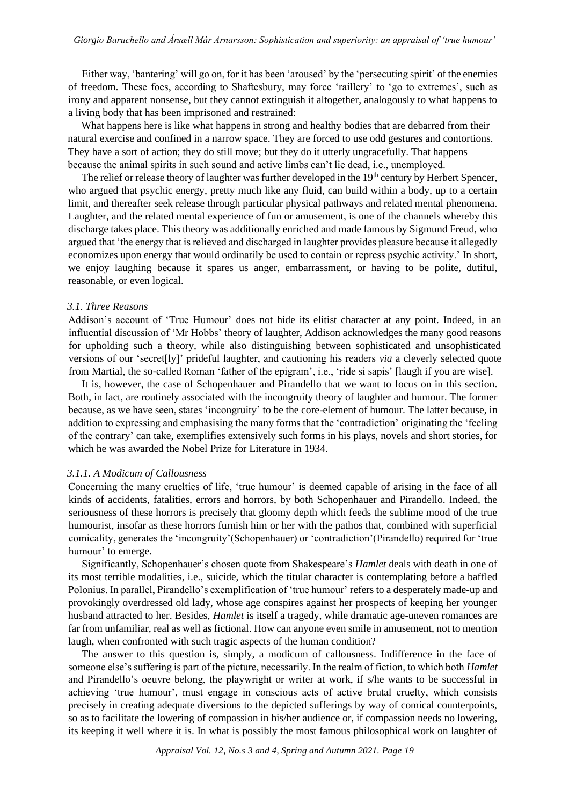Either way, 'bantering' will go on, for it has been 'aroused' by the 'persecuting spirit' of the enemies of freedom. These foes, according to Shaftesbury, may force 'raillery' to 'go to extremes', such as irony and apparent nonsense, but they cannot extinguish it altogether, analogously to what happens to a living body that has been imprisoned and restrained:

What happens here is like what happens in strong and healthy bodies that are debarred from their natural exercise and confined in a narrow space. They are forced to use odd gestures and contortions. They have a sort of action; they do still move; but they do it utterly ungracefully. That happens because the animal spirits in such sound and active limbs can't lie dead, i.e., unemployed.

The relief or release theory of laughter was further developed in the 19<sup>th</sup> century by Herbert Spencer, who argued that psychic energy, pretty much like any fluid, can build within a body, up to a certain limit, and thereafter seek release through particular physical pathways and related mental phenomena. Laughter, and the related mental experience of fun or amusement, is one of the channels whereby this discharge takes place. This theory was additionally enriched and made famous by Sigmund Freud, who argued that 'the energy that is relieved and discharged in laughter provides pleasure because it allegedly economizes upon energy that would ordinarily be used to contain or repress psychic activity.' In short, we enjoy laughing because it spares us anger, embarrassment, or having to be polite, dutiful, reasonable, or even logical.

#### *3.1*. *Three Reasons*

Addison's account of 'True Humour' does not hide its elitist character at any point. Indeed, in an influential discussion of 'Mr Hobbs' theory of laughter, Addison acknowledges the many good reasons for upholding such a theory, while also distinguishing between sophisticated and unsophisticated versions of our 'secret[ly]' prideful laughter, and cautioning his readers *via* a cleverly selected quote from Martial, the so-called Roman 'father of the epigram', i.e., 'ride si sapis' [laugh if you are wise].

It is, however, the case of Schopenhauer and Pirandello that we want to focus on in this section. Both, in fact, are routinely associated with the incongruity theory of laughter and humour. The former because, as we have seen, states 'incongruity' to be the core-element of humour. The latter because, in addition to expressing and emphasising the many forms that the 'contradiction' originating the 'feeling of the contrary' can take, exemplifies extensively such forms in his plays, novels and short stories, for which he was awarded the Nobel Prize for Literature in 1934.

#### *3.1.1. A Modicum of Callousness*

Concerning the many cruelties of life, 'true humour' is deemed capable of arising in the face of all kinds of accidents, fatalities, errors and horrors, by both Schopenhauer and Pirandello. Indeed, the seriousness of these horrors is precisely that gloomy depth which feeds the sublime mood of the true humourist, insofar as these horrors furnish him or her with the pathos that, combined with superficial comicality, generates the 'incongruity'(Schopenhauer) or 'contradiction'(Pirandello) required for 'true humour' to emerge.

Significantly, Schopenhauer's chosen quote from Shakespeare's *Hamlet* deals with death in one of its most terrible modalities, i.e., suicide, which the titular character is contemplating before a baffled Polonius. In parallel, Pirandello's exemplification of 'true humour' refers to a desperately made-up and provokingly overdressed old lady, whose age conspires against her prospects of keeping her younger husband attracted to her. Besides, *Hamlet* is itself a tragedy, while dramatic age-uneven romances are far from unfamiliar, real as well as fictional. How can anyone even smile in amusement, not to mention laugh, when confronted with such tragic aspects of the human condition?

The answer to this question is, simply, a modicum of callousness. Indifference in the face of someone else's suffering is part of the picture, necessarily. In the realm of fiction, to which both *Hamlet*  and Pirandello's oeuvre belong, the playwright or writer at work, if s/he wants to be successful in achieving 'true humour', must engage in conscious acts of active brutal cruelty, which consists precisely in creating adequate diversions to the depicted sufferings by way of comical counterpoints, so as to facilitate the lowering of compassion in his/her audience or, if compassion needs no lowering, its keeping it well where it is. In what is possibly the most famous philosophical work on laughter of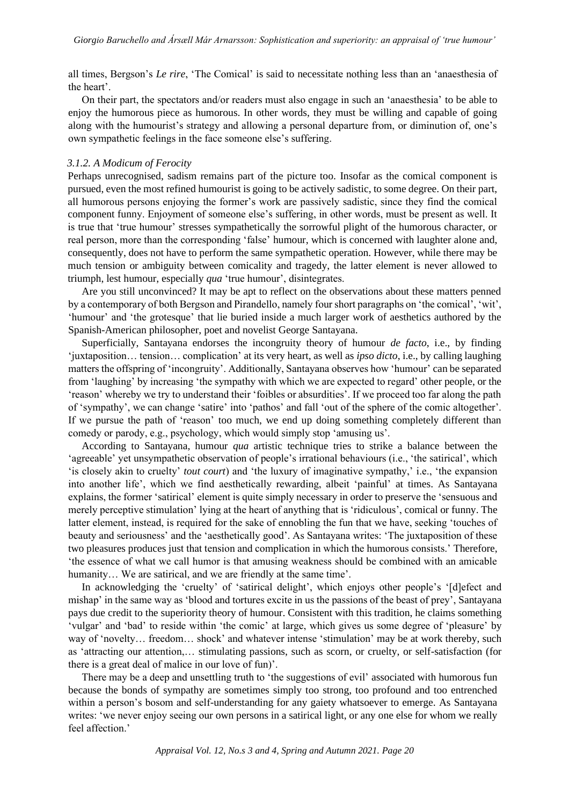all times, Bergson's *Le rire*, 'The Comical' is said to necessitate nothing less than an 'anaesthesia of the heart'.

On their part, the spectators and/or readers must also engage in such an 'anaesthesia' to be able to enjoy the humorous piece as humorous. In other words, they must be willing and capable of going along with the humourist's strategy and allowing a personal departure from, or diminution of, one's own sympathetic feelings in the face someone else's suffering.

# *3.1.2. A Modicum of Ferocity*

Perhaps unrecognised, sadism remains part of the picture too. Insofar as the comical component is pursued, even the most refined humourist is going to be actively sadistic, to some degree. On their part, all humorous persons enjoying the former's work are passively sadistic, since they find the comical component funny. Enjoyment of someone else's suffering, in other words, must be present as well. It is true that 'true humour' stresses sympathetically the sorrowful plight of the humorous character, or real person, more than the corresponding 'false' humour, which is concerned with laughter alone and, consequently, does not have to perform the same sympathetic operation. However, while there may be much tension or ambiguity between comicality and tragedy, the latter element is never allowed to triumph, lest humour, especially *qua* 'true humour', disintegrates.

Are you still unconvinced? It may be apt to reflect on the observations about these matters penned by a contemporary of both Bergson and Pirandello, namely four short paragraphs on 'the comical', 'wit', 'humour' and 'the grotesque' that lie buried inside a much larger work of aesthetics authored by the Spanish-American philosopher, poet and novelist George Santayana.

Superficially, Santayana endorses the incongruity theory of humour *de facto*, i.e., by finding 'juxtaposition… tension… complication' at its very heart, as well as *ipso dicto*, i.e., by calling laughing matters the offspring of 'incongruity'. Additionally, Santayana observes how 'humour' can be separated from 'laughing' by increasing 'the sympathy with which we are expected to regard' other people, or the 'reason' whereby we try to understand their 'foibles or absurdities'. If we proceed too far along the path of 'sympathy', we can change 'satire' into 'pathos' and fall 'out of the sphere of the comic altogether'. If we pursue the path of 'reason' too much, we end up doing something completely different than comedy or parody, e.g., psychology, which would simply stop 'amusing us'.

According to Santayana, humour *qua* artistic technique tries to strike a balance between the 'agreeable' yet unsympathetic observation of people's irrational behaviours (i.e., 'the satirical', which 'is closely akin to cruelty' *tout court*) and 'the luxury of imaginative sympathy,' i.e., 'the expansion into another life', which we find aesthetically rewarding, albeit 'painful' at times. As Santayana explains, the former 'satirical' element is quite simply necessary in order to preserve the 'sensuous and merely perceptive stimulation' lying at the heart of anything that is 'ridiculous', comical or funny. The latter element, instead, is required for the sake of ennobling the fun that we have, seeking 'touches of beauty and seriousness' and the 'aesthetically good'. As Santayana writes: 'The juxtaposition of these two pleasures produces just that tension and complication in which the humorous consists.' Therefore, 'the essence of what we call humor is that amusing weakness should be combined with an amicable humanity... We are satirical, and we are friendly at the same time'.

In acknowledging the 'cruelty' of 'satirical delight', which enjoys other people's '[d]efect and mishap' in the same way as 'blood and tortures excite in us the passions of the beast of prey', Santayana pays due credit to the superiority theory of humour. Consistent with this tradition, he claims something 'vulgar' and 'bad' to reside within 'the comic' at large, which gives us some degree of 'pleasure' by way of 'novelty… freedom… shock' and whatever intense 'stimulation' may be at work thereby, such as 'attracting our attention,… stimulating passions, such as scorn, or cruelty, or self-satisfaction (for there is a great deal of malice in our love of fun)'.

There may be a deep and unsettling truth to 'the suggestions of evil' associated with humorous fun because the bonds of sympathy are sometimes simply too strong, too profound and too entrenched within a person's bosom and self-understanding for any gaiety whatsoever to emerge. As Santayana writes: 'we never enjoy seeing our own persons in a satirical light, or any one else for whom we really feel affection.'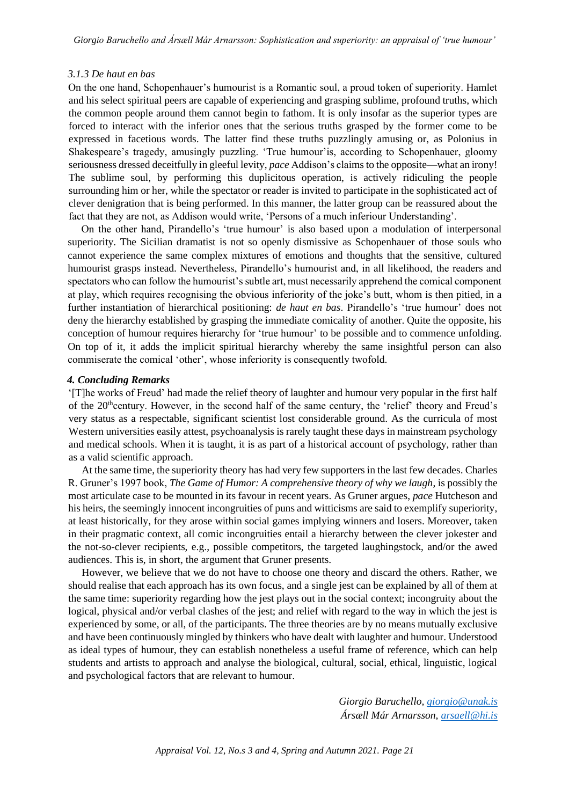#### *3.1.3 De haut en bas*

On the one hand, Schopenhauer's humourist is a Romantic soul, a proud token of superiority. Hamlet and his select spiritual peers are capable of experiencing and grasping sublime, profound truths, which the common people around them cannot begin to fathom. It is only insofar as the superior types are forced to interact with the inferior ones that the serious truths grasped by the former come to be expressed in facetious words. The latter find these truths puzzlingly amusing or, as Polonius in Shakespeare's tragedy, amusingly puzzling. 'True humour'is, according to Schopenhauer, gloomy seriousness dressed deceitfully in gleeful levity, *pace* Addison's claims to the opposite—what an irony! The sublime soul, by performing this duplicitous operation, is actively ridiculing the people surrounding him or her, while the spectator or reader is invited to participate in the sophisticated act of clever denigration that is being performed. In this manner, the latter group can be reassured about the fact that they are not, as Addison would write, 'Persons of a much inferiour Understanding'.

On the other hand, Pirandello's 'true humour' is also based upon a modulation of interpersonal superiority. The Sicilian dramatist is not so openly dismissive as Schopenhauer of those souls who cannot experience the same complex mixtures of emotions and thoughts that the sensitive, cultured humourist grasps instead. Nevertheless, Pirandello's humourist and, in all likelihood, the readers and spectators who can follow the humourist's subtle art, must necessarily apprehend the comical component at play, which requires recognising the obvious inferiority of the joke's butt, whom is then pitied, in a further instantiation of hierarchical positioning: *de haut en bas*. Pirandello's 'true humour' does not deny the hierarchy established by grasping the immediate comicality of another. Quite the opposite, his conception of humour requires hierarchy for 'true humour' to be possible and to commence unfolding. On top of it, it adds the implicit spiritual hierarchy whereby the same insightful person can also commiserate the comical 'other', whose inferiority is consequently twofold.

# *4. Concluding Remarks*

'[T]he works of Freud' had made the relief theory of laughter and humour very popular in the first half of the 20<sup>th</sup>century. However, in the second half of the same century, the 'relief' theory and Freud's very status as a respectable, significant scientist lost considerable ground. As the curricula of most Western universities easily attest, psychoanalysis is rarely taught these days in mainstream psychology and medical schools. When it is taught, it is as part of a historical account of psychology, rather than as a valid scientific approach.

At the same time, the superiority theory has had very few supporters in the last few decades. Charles R. Gruner's 1997 book, *The Game of Humor: A comprehensive theory of why we laugh*, is possibly the most articulate case to be mounted in its favour in recent years. As Gruner argues, *pace* Hutcheson and his heirs, the seemingly innocent incongruities of puns and witticisms are said to exemplify superiority, at least historically, for they arose within social games implying winners and losers. Moreover, taken in their pragmatic context, all comic incongruities entail a hierarchy between the clever jokester and the not-so-clever recipients, e.g., possible competitors, the targeted laughingstock, and/or the awed audiences. This is, in short, the argument that Gruner presents.

However, we believe that we do not have to choose one theory and discard the others. Rather, we should realise that each approach has its own focus, and a single jest can be explained by all of them at the same time: superiority regarding how the jest plays out in the social context; incongruity about the logical, physical and/or verbal clashes of the jest; and relief with regard to the way in which the jest is experienced by some, or all, of the participants. The three theories are by no means mutually exclusive and have been continuously mingled by thinkers who have dealt with laughter and humour. Understood as ideal types of humour, they can establish nonetheless a useful frame of reference, which can help students and artists to approach and analyse the biological, cultural, social, ethical, linguistic, logical and psychological factors that are relevant to humour.

> *Giorgio Baruchello,<giorgio@unak.is> Ársæll Már Arnarsson, [arsaell@hi.is](mailto:arsaell@hi.is)*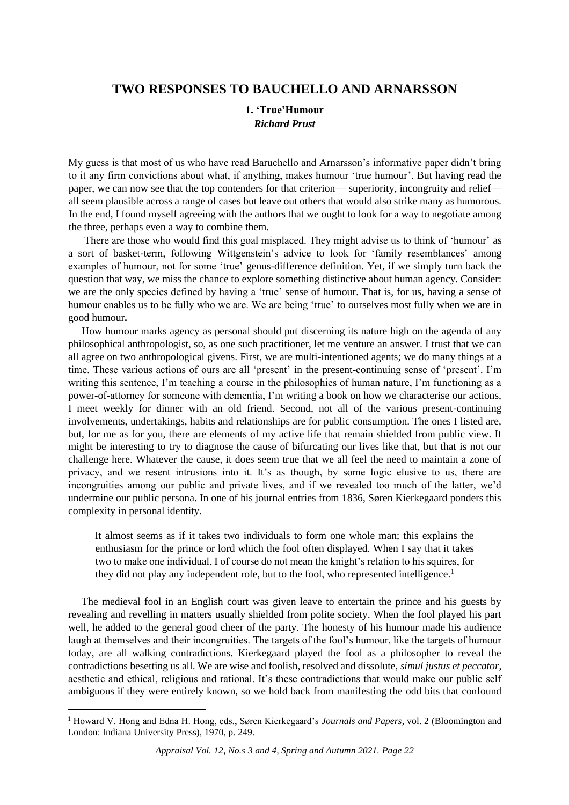# **TWO RESPONSES TO BAUCHELLO AND ARNARSSON**

# **1. 'True'Humour** *Richard Prust*

My guess is that most of us who have read Baruchello and Arnarsson's informative paper didn't bring to it any firm convictions about what, if anything, makes humour 'true humour'. But having read the paper, we can now see that the top contenders for that criterion— superiority, incongruity and relief all seem plausible across a range of cases but leave out others that would also strike many as humorous. In the end, I found myself agreeing with the authors that we ought to look for a way to negotiate among the three, perhaps even a way to combine them.

There are those who would find this goal misplaced. They might advise us to think of 'humour' as a sort of basket-term, following Wittgenstein's advice to look for 'family resemblances' among examples of humour, not for some 'true' genus-difference definition. Yet, if we simply turn back the question that way, we miss the chance to explore something distinctive about human agency. Consider: we are the only species defined by having a 'true' sense of humour. That is, for us, having a sense of humour enables us to be fully who we are. We are being 'true' to ourselves most fully when we are in good humour**.**

How humour marks agency as personal should put discerning its nature high on the agenda of any philosophical anthropologist, so, as one such practitioner, let me venture an answer. I trust that we can all agree on two anthropological givens. First, we are multi-intentioned agents; we do many things at a time. These various actions of ours are all 'present' in the present-continuing sense of 'present'. I'm writing this sentence, I'm teaching a course in the philosophies of human nature, I'm functioning as a power-of-attorney for someone with dementia, I'm writing a book on how we characterise our actions, I meet weekly for dinner with an old friend. Second, not all of the various present-continuing involvements, undertakings, habits and relationships are for public consumption. The ones I listed are, but, for me as for you, there are elements of my active life that remain shielded from public view. It might be interesting to try to diagnose the cause of bifurcating our lives like that, but that is not our challenge here. Whatever the cause, it does seem true that we all feel the need to maintain a zone of privacy, and we resent intrusions into it. It's as though, by some logic elusive to us, there are incongruities among our public and private lives, and if we revealed too much of the latter, we'd undermine our public persona. In one of his journal entries from 1836, Søren Kierkegaard ponders this complexity in personal identity.

It almost seems as if it takes two individuals to form one whole man; this explains the enthusiasm for the prince or lord which the fool often displayed. When I say that it takes two to make one individual, I of course do not mean the knight's relation to his squires, for they did not play any independent role, but to the fool, who represented intelligence.<sup>1</sup>

The medieval fool in an English court was given leave to entertain the prince and his guests by revealing and revelling in matters usually shielded from polite society. When the fool played his part well, he added to the general good cheer of the party. The honesty of his humour made his audience laugh at themselves and their incongruities. The targets of the fool's humour, like the targets of humour today, are all walking contradictions. Kierkegaard played the fool as a philosopher to reveal the contradictions besetting us all. We are wise and foolish, resolved and dissolute, *simul justus et peccator*, aesthetic and ethical, religious and rational. It's these contradictions that would make our public self ambiguous if they were entirely known, so we hold back from manifesting the odd bits that confound

<sup>1</sup> Howard V. Hong and Edna H. Hong, eds., Søren Kierkegaard's *Journals and Papers*, vol. 2 (Bloomington and London: Indiana University Press), 1970, p. 249.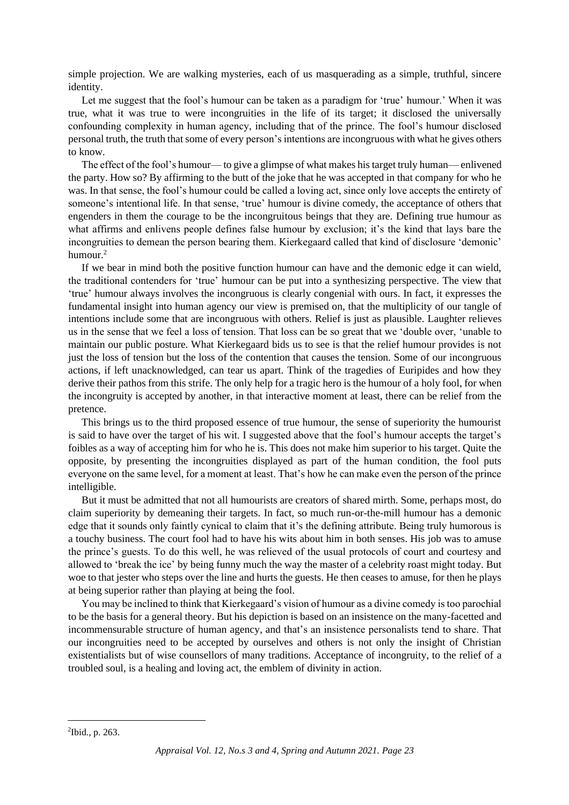simple projection. We are walking mysteries, each of us masquerading as a simple, truthful, sincere identity.

Let me suggest that the fool's humour can be taken as a paradigm for 'true' humour.' When it was true, what it was true to were incongruities in the life of its target; it disclosed the universally confounding complexity in human agency, including that of the prince. The fool's humour disclosed personal truth, the truth that some of every person's intentions are incongruous with what he gives others to know.

The effect of the fool's humour— to give a glimpse of what makes his target truly human— enlivened the party. How so? By affirming to the butt of the joke that he was accepted in that company for who he was. In that sense, the fool's humour could be called a loving act, since only love accepts the entirety of someone's intentional life. In that sense, 'true' humour is divine comedy, the acceptance of others that engenders in them the courage to be the incongruitous beings that they are. Defining true humour as what affirms and enlivens people defines false humour by exclusion; it's the kind that lays bare the incongruities to demean the person bearing them. Kierkegaard called that kind of disclosure 'demonic' humour.<sup>2</sup>

If we bear in mind both the positive function humour can have and the demonic edge it can wield, the traditional contenders for 'true' humour can be put into a synthesizing perspective. The view that 'true' humour always involves the incongruous is clearly congenial with ours. In fact, it expresses the fundamental insight into human agency our view is premised on, that the multiplicity of our tangle of intentions include some that are incongruous with others. Relief is just as plausible. Laughter relieves us in the sense that we feel a loss of tension. That loss can be so great that we 'double over, 'unable to maintain our public posture. What Kierkegaard bids us to see is that the relief humour provides is not just the loss of tension but the loss of the contention that causes the tension. Some of our incongruous actions, if left unacknowledged, can tear us apart. Think of the tragedies of Euripides and how they derive their pathos from this strife. The only help for a tragic hero is the humour of a holy fool, for when the incongruity is accepted by another, in that interactive moment at least, there can be relief from the pretence.

This brings us to the third proposed essence of true humour, the sense of superiority the humourist is said to have over the target of his wit. I suggested above that the fool's humour accepts the target's foibles as a way of accepting him for who he is. This does not make him superior to his target. Quite the opposite, by presenting the incongruities displayed as part of the human condition, the fool puts everyone on the same level, for a moment at least. That's how he can make even the person of the prince intelligible.

But it must be admitted that not all humourists are creators of shared mirth. Some, perhaps most, do claim superiority by demeaning their targets. In fact, so much run-or-the-mill humour has a demonic edge that it sounds only faintly cynical to claim that it's the defining attribute. Being truly humorous is a touchy business. The court fool had to have his wits about him in both senses. His job was to amuse the prince's guests. To do this well, he was relieved of the usual protocols of court and courtesy and allowed to 'break the ice' by being funny much the way the master of a celebrity roast might today. But woe to that jester who steps over the line and hurts the guests. He then ceases to amuse, for then he plays at being superior rather than playing at being the fool.

You may be inclined to think that Kierkegaard's vision of humour as a divine comedy is too parochial to be the basis for a general theory. But his depiction is based on an insistence on the many-facetted and incommensurable structure of human agency, and that's an insistence personalists tend to share. That our incongruities need to be accepted by ourselves and others is not only the insight of Christian existentialists but of wise counsellors of many traditions. Acceptance of incongruity, to the relief of a troubled soul, is a healing and loving act, the emblem of divinity in action.

<sup>2</sup> Ibid., p. 263.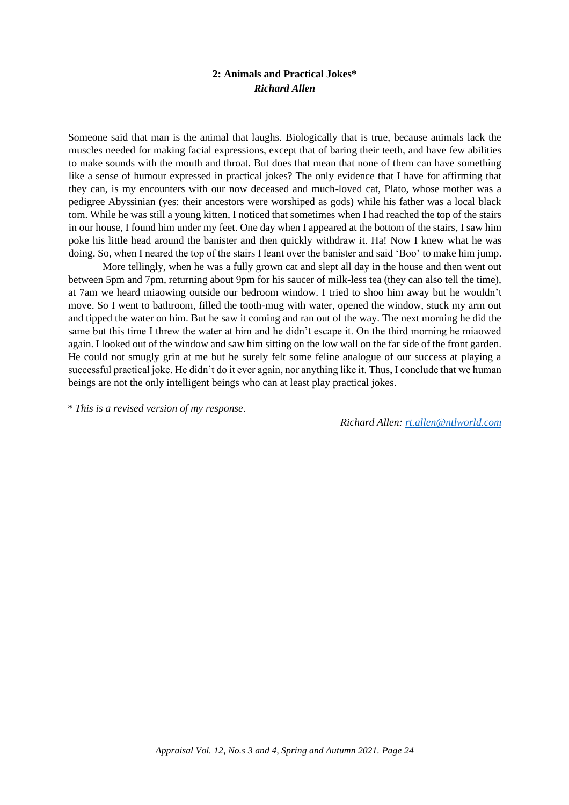# **2: Animals and Practical Jokes\*** *Richard Allen*

Someone said that man is the animal that laughs. Biologically that is true, because animals lack the muscles needed for making facial expressions, except that of baring their teeth, and have few abilities to make sounds with the mouth and throat. But does that mean that none of them can have something like a sense of humour expressed in practical jokes? The only evidence that I have for affirming that they can, is my encounters with our now deceased and much-loved cat, Plato, whose mother was a pedigree Abyssinian (yes: their ancestors were worshiped as gods) while his father was a local black tom. While he was still a young kitten, I noticed that sometimes when I had reached the top of the stairs in our house, I found him under my feet. One day when I appeared at the bottom of the stairs, I saw him poke his little head around the banister and then quickly withdraw it. Ha! Now I knew what he was doing. So, when I neared the top of the stairs I leant over the banister and said 'Boo' to make him jump.

More tellingly, when he was a fully grown cat and slept all day in the house and then went out between 5pm and 7pm, returning about 9pm for his saucer of milk-less tea (they can also tell the time), at 7am we heard miaowing outside our bedroom window. I tried to shoo him away but he wouldn't move. So I went to bathroom, filled the tooth-mug with water, opened the window, stuck my arm out and tipped the water on him. But he saw it coming and ran out of the way. The next morning he did the same but this time I threw the water at him and he didn't escape it. On the third morning he miaowed again. I looked out of the window and saw him sitting on the low wall on the far side of the front garden. He could not smugly grin at me but he surely felt some feline analogue of our success at playing a successful practical joke. He didn't do it ever again, nor anything like it. Thus, I conclude that we human beings are not the only intelligent beings who can at least play practical jokes.

*\* This is a revised version of my response*.

*Richard Allen:<rt.allen@ntlworld.com>*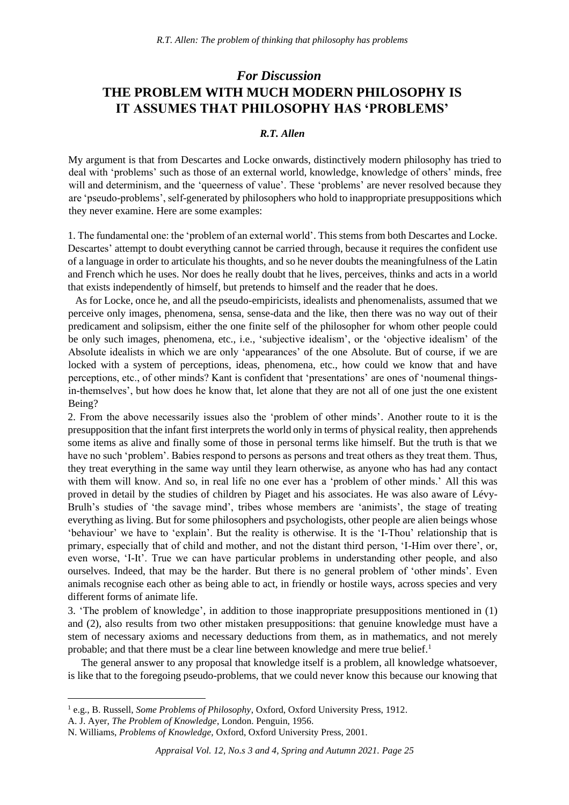# *For Discussion* **THE PROBLEM WITH MUCH MODERN PHILOSOPHY IS IT ASSUMES THAT PHILOSOPHY HAS 'PROBLEMS'**

# *R.T. Allen*

My argument is that from Descartes and Locke onwards, distinctively modern philosophy has tried to deal with 'problems' such as those of an external world, knowledge, knowledge of others' minds, free will and determinism, and the 'queerness of value'. These 'problems' are never resolved because they are 'pseudo-problems', self-generated by philosophers who hold to inappropriate presuppositions which they never examine. Here are some examples:

1. The fundamental one: the 'problem of an external world'. This stems from both Descartes and Locke. Descartes' attempt to doubt everything cannot be carried through, because it requires the confident use of a language in order to articulate his thoughts, and so he never doubts the meaningfulness of the Latin and French which he uses. Nor does he really doubt that he lives, perceives, thinks and acts in a world that exists independently of himself, but pretends to himself and the reader that he does.

As for Locke, once he, and all the pseudo-empiricists, idealists and phenomenalists, assumed that we perceive only images, phenomena, sensa, sense-data and the like, then there was no way out of their predicament and solipsism, either the one finite self of the philosopher for whom other people could be only such images, phenomena, etc., i.e., 'subjective idealism', or the 'objective idealism' of the Absolute idealists in which we are only 'appearances' of the one Absolute. But of course, if we are locked with a system of perceptions, ideas, phenomena, etc., how could we know that and have perceptions, etc., of other minds? Kant is confident that 'presentations' are ones of 'noumenal thingsin-themselves', but how does he know that, let alone that they are not all of one just the one existent Being?

2. From the above necessarily issues also the 'problem of other minds'. Another route to it is the presupposition that the infant first interprets the world only in terms of physical reality, then apprehends some items as alive and finally some of those in personal terms like himself. But the truth is that we have no such 'problem'. Babies respond to persons as persons and treat others as they treat them. Thus, they treat everything in the same way until they learn otherwise, as anyone who has had any contact with them will know. And so, in real life no one ever has a 'problem of other minds.' All this was proved in detail by the studies of children by Piaget and his associates. He was also aware of Lévy-Brulh's studies of 'the savage mind', tribes whose members are 'animists', the stage of treating everything as living. But for some philosophers and psychologists, other people are alien beings whose 'behaviour' we have to 'explain'. But the reality is otherwise. It is the 'I-Thou' relationship that is primary, especially that of child and mother, and not the distant third person, 'I-Him over there', or, even worse, 'I-It'. True we can have particular problems in understanding other people, and also ourselves. Indeed, that may be the harder. But there is no general problem of 'other minds'. Even animals recognise each other as being able to act, in friendly or hostile ways, across species and very different forms of animate life.

3. 'The problem of knowledge', in addition to those inappropriate presuppositions mentioned in (1) and (2), also results from two other mistaken presuppositions: that genuine knowledge must have a stem of necessary axioms and necessary deductions from them, as in mathematics, and not merely probable; and that there must be a clear line between knowledge and mere true belief. $<sup>1</sup>$ </sup>

The general answer to any proposal that knowledge itself is a problem, all knowledge whatsoever, is like that to the foregoing pseudo-problems, that we could never know this because our knowing that

<sup>1</sup> e.g., B. Russell, *Some Problems of Philosophy*, Oxford, Oxford University Press, 1912.

A. J. Ayer, *The Problem of Knowledge*, London. Penguin, 1956.

N. Williams, *Problems of Knowledge,* Oxford, Oxford University Press, 2001.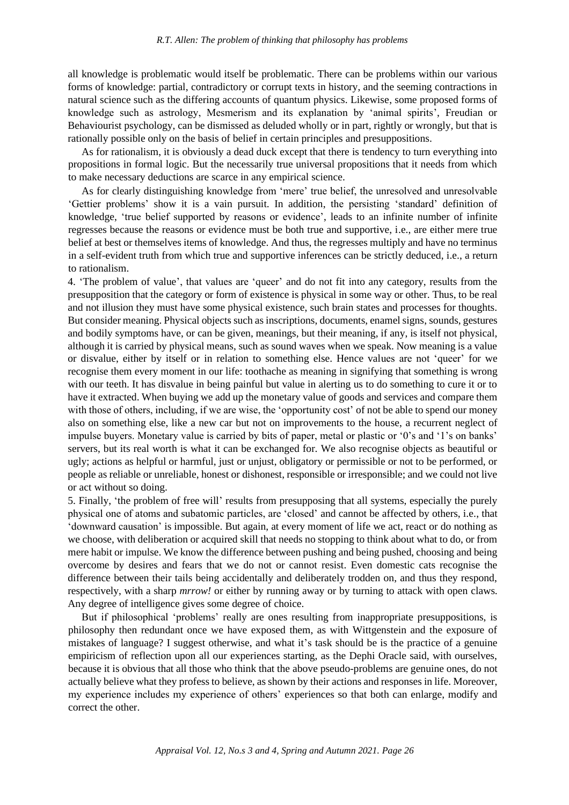all knowledge is problematic would itself be problematic. There can be problems within our various forms of knowledge: partial, contradictory or corrupt texts in history, and the seeming contractions in natural science such as the differing accounts of quantum physics. Likewise, some proposed forms of knowledge such as astrology, Mesmerism and its explanation by 'animal spirits', Freudian or Behaviourist psychology, can be dismissed as deluded wholly or in part, rightly or wrongly, but that is rationally possible only on the basis of belief in certain principles and presuppositions.

As for rationalism, it is obviously a dead duck except that there is tendency to turn everything into propositions in formal logic. But the necessarily true universal propositions that it needs from which to make necessary deductions are scarce in any empirical science.

As for clearly distinguishing knowledge from 'mere' true belief, the unresolved and unresolvable 'Gettier problems' show it is a vain pursuit. In addition, the persisting 'standard' definition of knowledge, 'true belief supported by reasons or evidence', leads to an infinite number of infinite regresses because the reasons or evidence must be both true and supportive, i.e., are either mere true belief at best or themselves items of knowledge. And thus, the regresses multiply and have no terminus in a self-evident truth from which true and supportive inferences can be strictly deduced, i.e., a return to rationalism.

4. 'The problem of value', that values are 'queer' and do not fit into any category, results from the presupposition that the category or form of existence is physical in some way or other. Thus, to be real and not illusion they must have some physical existence, such brain states and processes for thoughts. But consider meaning. Physical objects such as inscriptions, documents, enamel signs, sounds, gestures and bodily symptoms have, or can be given, meanings, but their meaning, if any, is itself not physical, although it is carried by physical means, such as sound waves when we speak. Now meaning is a value or disvalue, either by itself or in relation to something else. Hence values are not 'queer' for we recognise them every moment in our life: toothache as meaning in signifying that something is wrong with our teeth. It has disvalue in being painful but value in alerting us to do something to cure it or to have it extracted. When buying we add up the monetary value of goods and services and compare them with those of others, including, if we are wise, the 'opportunity cost' of not be able to spend our money also on something else, like a new car but not on improvements to the house, a recurrent neglect of impulse buyers. Monetary value is carried by bits of paper, metal or plastic or '0's and '1's on banks' servers, but its real worth is what it can be exchanged for. We also recognise objects as beautiful or ugly; actions as helpful or harmful, just or unjust, obligatory or permissible or not to be performed, or people as reliable or unreliable, honest or dishonest, responsible or irresponsible; and we could not live or act without so doing.

5. Finally, 'the problem of free will' results from presupposing that all systems, especially the purely physical one of atoms and subatomic particles, are 'closed' and cannot be affected by others, i.e., that 'downward causation' is impossible. But again, at every moment of life we act, react or do nothing as we choose, with deliberation or acquired skill that needs no stopping to think about what to do, or from mere habit or impulse. We know the difference between pushing and being pushed, choosing and being overcome by desires and fears that we do not or cannot resist. Even domestic cats recognise the difference between their tails being accidentally and deliberately trodden on, and thus they respond, respectively, with a sharp *mrrow!* or either by running away or by turning to attack with open claws. Any degree of intelligence gives some degree of choice.

But if philosophical 'problems' really are ones resulting from inappropriate presuppositions, is philosophy then redundant once we have exposed them, as with Wittgenstein and the exposure of mistakes of language? I suggest otherwise, and what it's task should be is the practice of a genuine empiricism of reflection upon all our experiences starting, as the Dephi Oracle said, with ourselves, because it is obvious that all those who think that the above pseudo-problems are genuine ones, do not actually believe what they profess to believe, as shown by their actions and responses in life. Moreover, my experience includes my experience of others' experiences so that both can enlarge, modify and correct the other.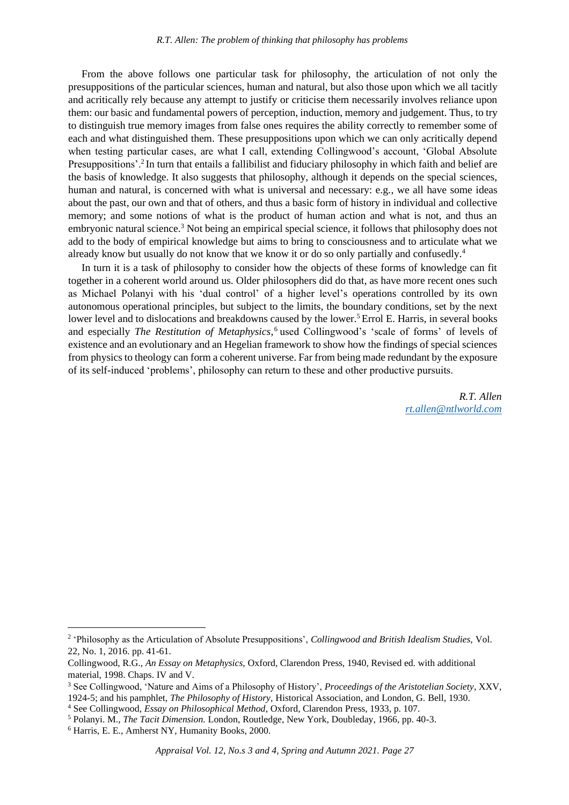From the above follows one particular task for philosophy, the articulation of not only the presuppositions of the particular sciences, human and natural, but also those upon which we all tacitly and acritically rely because any attempt to justify or criticise them necessarily involves reliance upon them: our basic and fundamental powers of perception, induction, memory and judgement. Thus, to try to distinguish true memory images from false ones requires the ability correctly to remember some of each and what distinguished them. These presuppositions upon which we can only acritically depend when testing particular cases, are what I call, extending Collingwood's account, 'Global Absolute Presuppositions'.<sup>2</sup> In turn that entails a fallibilist and fiduciary philosophy in which faith and belief are the basis of knowledge. It also suggests that philosophy, although it depends on the special sciences, human and natural, is concerned with what is universal and necessary: e.g., we all have some ideas about the past, our own and that of others, and thus a basic form of history in individual and collective memory; and some notions of what is the product of human action and what is not, and thus an embryonic natural science.<sup>3</sup> Not being an empirical special science, it follows that philosophy does not add to the body of empirical knowledge but aims to bring to consciousness and to articulate what we already know but usually do not know that we know it or do so only partially and confusedly.<sup>4</sup>

In turn it is a task of philosophy to consider how the objects of these forms of knowledge can fit together in a coherent world around us. Older philosophers did do that, as have more recent ones such as Michael Polanyi with his 'dual control' of a higher level's operations controlled by its own autonomous operational principles, but subject to the limits, the boundary conditions, set by the next lower level and to dislocations and breakdowns caused by the lower.<sup>5</sup> Errol E. Harris, in several books and especially *The Restitution of Metaphysics*, <sup>6</sup> used Collingwood's 'scale of forms' of levels of existence and an evolutionary and an Hegelian framework to show how the findings of special sciences from physics to theology can form a coherent universe. Far from being made redundant by the exposure of its self-induced 'problems', philosophy can return to these and other productive pursuits.

> *R.T. Allen [rt.allen@ntlworld.com](mailto:rt.allen@ntlworld.com)*

<sup>2</sup> 'Philosophy as the Articulation of Absolute Presuppositions', *Collingwood and British Idealism Studies,* Vol. 22, No. 1, 2016. pp. 41-61.

Collingwood, R.G., *An Essay on Metaphysics,* Oxford, Clarendon Press, 1940, Revised ed. with additional material, 1998. Chaps. IV and V.

<sup>3</sup> See Collingwood, 'Nature and Aims of a Philosophy of History', *Proceedings of the Aristotelian Society*, XXV, 1924-5; and his pamphlet, *The Philosophy of History,* Historical Association, and London, G. Bell, 1930.

<sup>4</sup> See Collingwood*, Essay on Philosophical Method*, Oxford, Clarendon Press, 1933, p. 107.

<sup>5</sup> Polanyi. M., *The Tacit Dimension.* London, Routledge, New York, Doubleday, 1966, pp. 40-3.

<sup>6</sup> Harris, E. E., Amherst NY, Humanity Books, 2000.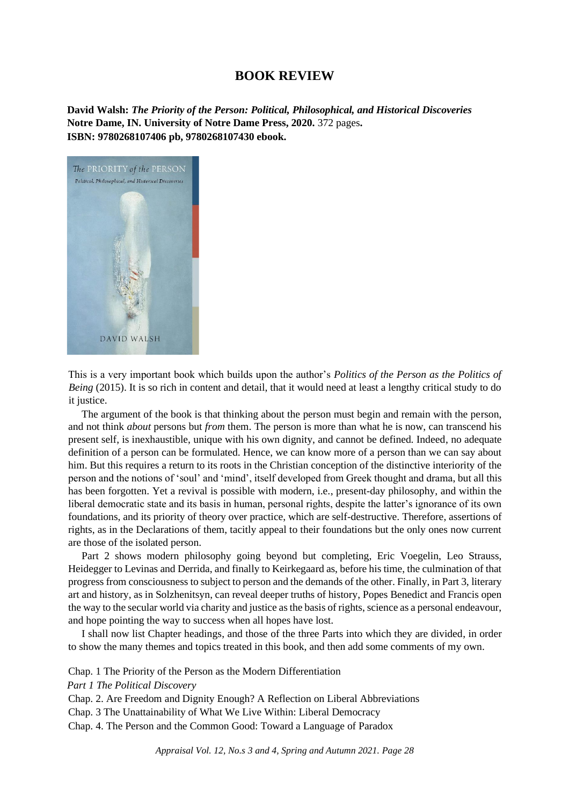# **BOOK REVIEW**

**David Walsh:** *The Priority of the Person: Political, Philosophical, and Historical Discoveries* **Notre Dame, IN. University of Notre Dame Press, 2020.** 372 pages**. ISBN: 9780268107406 pb, 9780268107430 ebook.**



This is a very important book which builds upon the author's *Politics of the Person as the Politics of Being* (2015). It is so rich in content and detail, that it would need at least a lengthy critical study to do it justice.

The argument of the book is that thinking about the person must begin and remain with the person, and not think *about* persons but *from* them. The person is more than what he is now, can transcend his present self, is inexhaustible, unique with his own dignity, and cannot be defined. Indeed, no adequate definition of a person can be formulated. Hence, we can know more of a person than we can say about him. But this requires a return to its roots in the Christian conception of the distinctive interiority of the person and the notions of 'soul' and 'mind', itself developed from Greek thought and drama, but all this has been forgotten. Yet a revival is possible with modern, i.e., present-day philosophy, and within the liberal democratic state and its basis in human, personal rights, despite the latter's ignorance of its own foundations, and its priority of theory over practice, which are self-destructive. Therefore, assertions of rights, as in the Declarations of them, tacitly appeal to their foundations but the only ones now current are those of the isolated person.

Part 2 shows modern philosophy going beyond but completing, Eric Voegelin, Leo Strauss, Heidegger to Levinas and Derrida, and finally to Keirkegaard as, before his time, the culmination of that progress from consciousness to subject to person and the demands of the other. Finally, in Part 3, literary art and history, as in Solzhenitsyn, can reveal deeper truths of history, Popes Benedict and Francis open the way to the secular world via charity and justice as the basis of rights, science as a personal endeavour, and hope pointing the way to success when all hopes have lost.

I shall now list Chapter headings, and those of the three Parts into which they are divided, in order to show the many themes and topics treated in this book, and then add some comments of my own.

Chap. 1 The Priority of the Person as the Modern Differentiation

*Part 1 The Political Discovery*

Chap. 2. Are Freedom and Dignity Enough? A Reflection on Liberal Abbreviations

Chap. 3 The Unattainability of What We Live Within: Liberal Democracy

Chap. 4. The Person and the Common Good: Toward a Language of Paradox